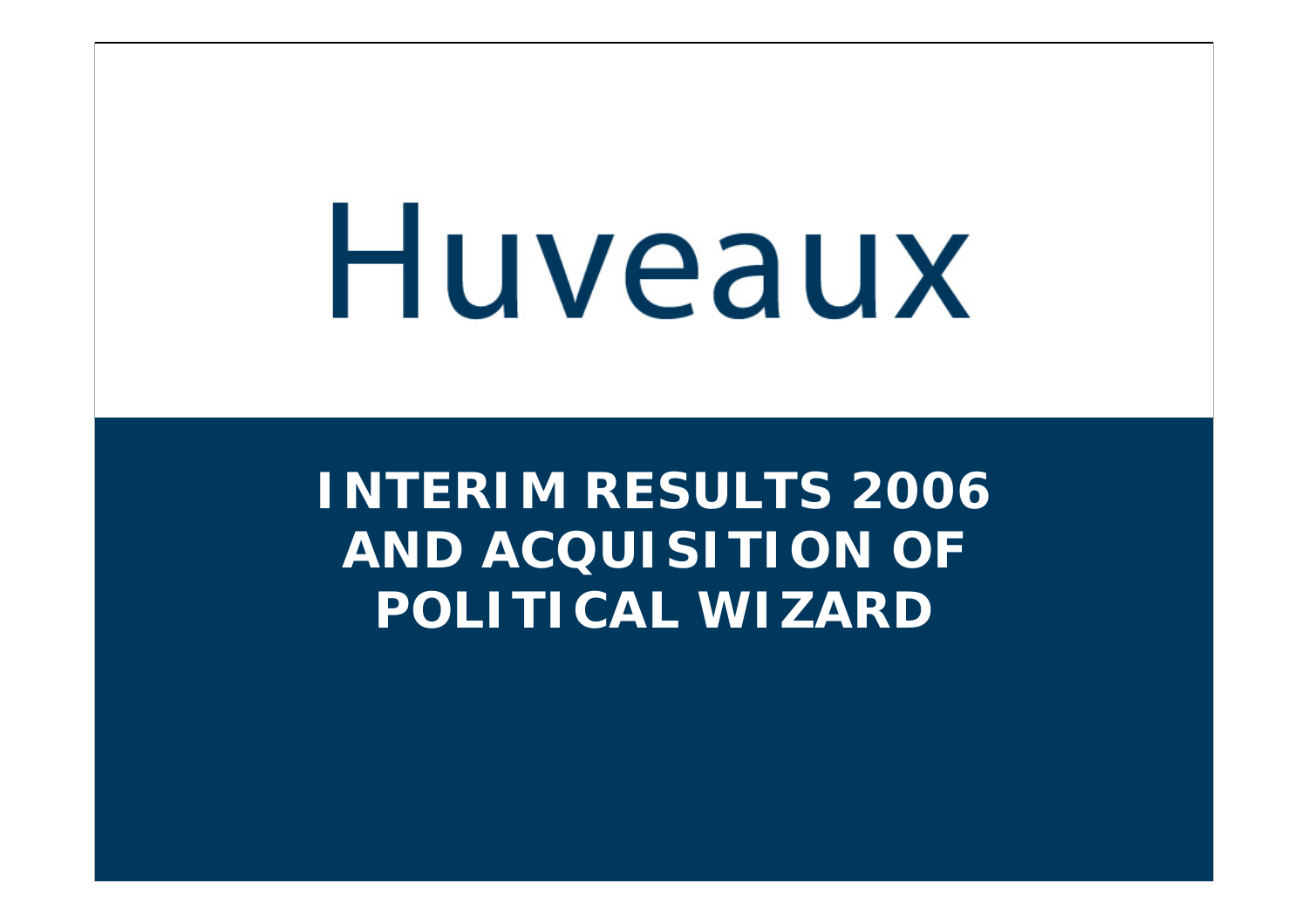**INTERIM RESULTS 2006 AND ACQUISITION OFPOLITICAL WIZARD**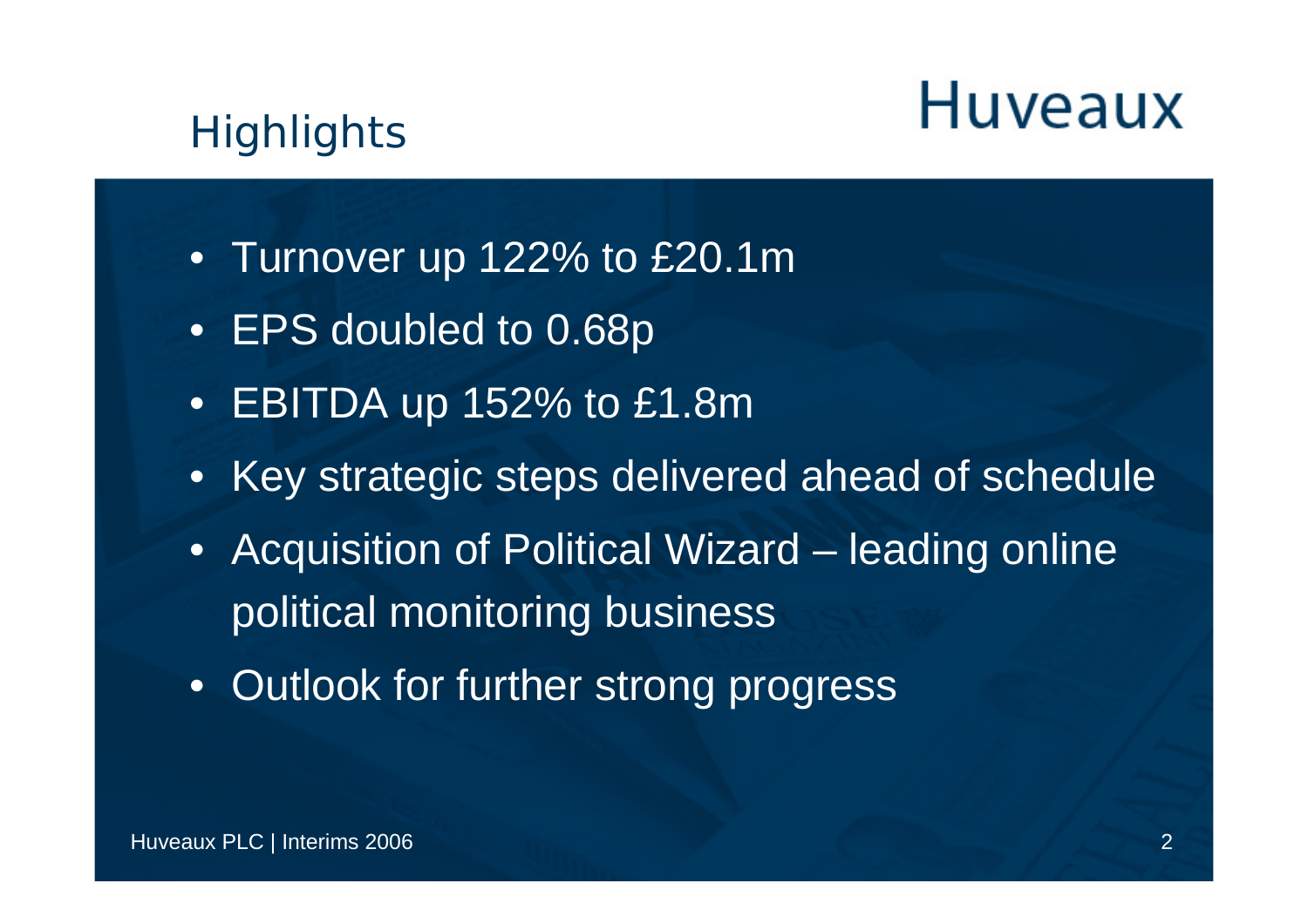#### **Highlights**

- Turnover up 122% to £20.1m
- EPS doubled to 0.68p
- EBITDA up 152% to £1.8m
- Key strategic steps delivered ahead of schedule
- Acquisition of Political Wizard leading online political monitoring business
- Outlook for further strong progress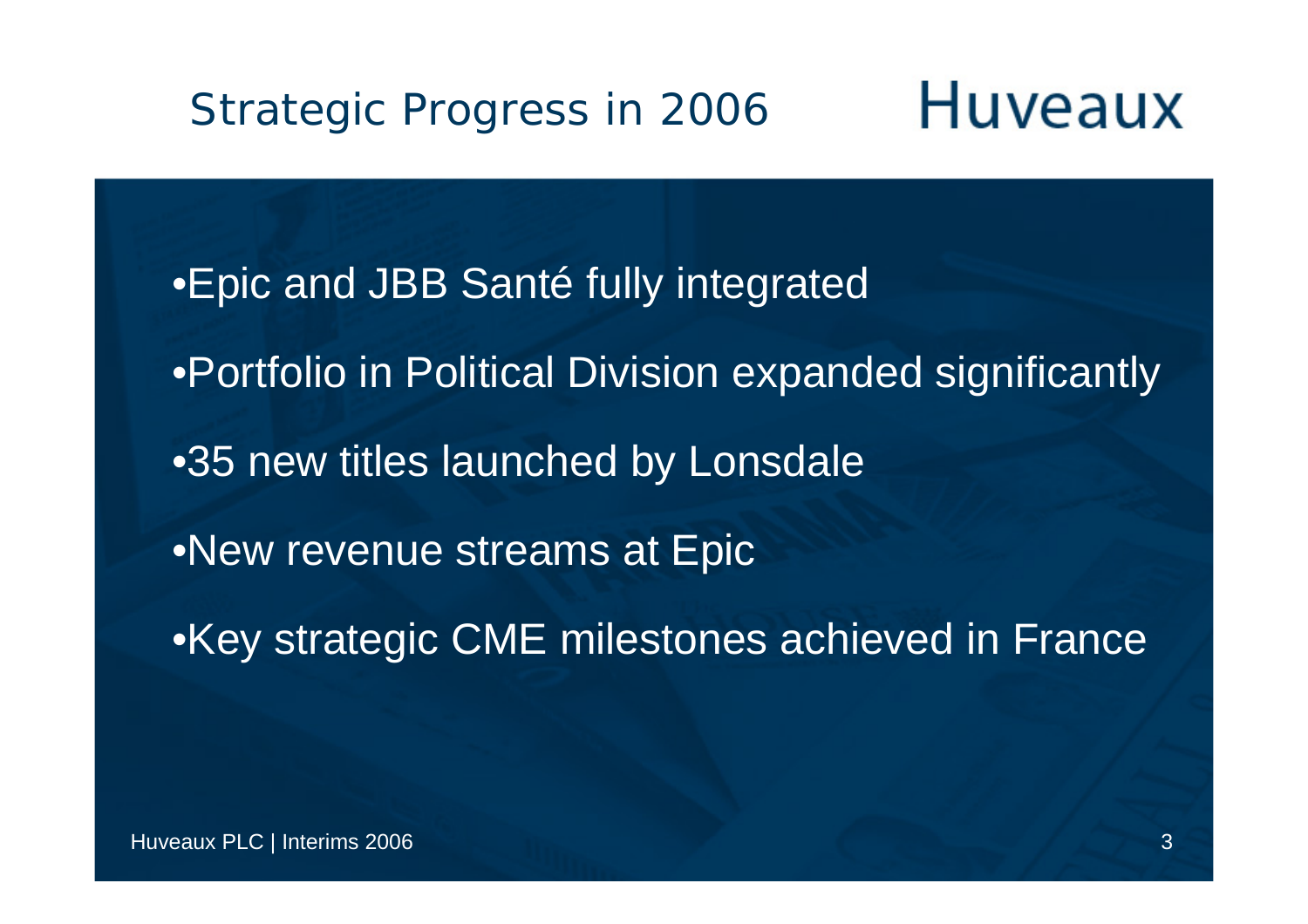**Huveaux** Strategic Progress in 2006

•Epic and JBB Santé fully integrated •Portfolio in Political Division expanded significantly •35 new titles launched by Lonsdale •New revenue streams at Epic •Key strategic CME milestones achieved in France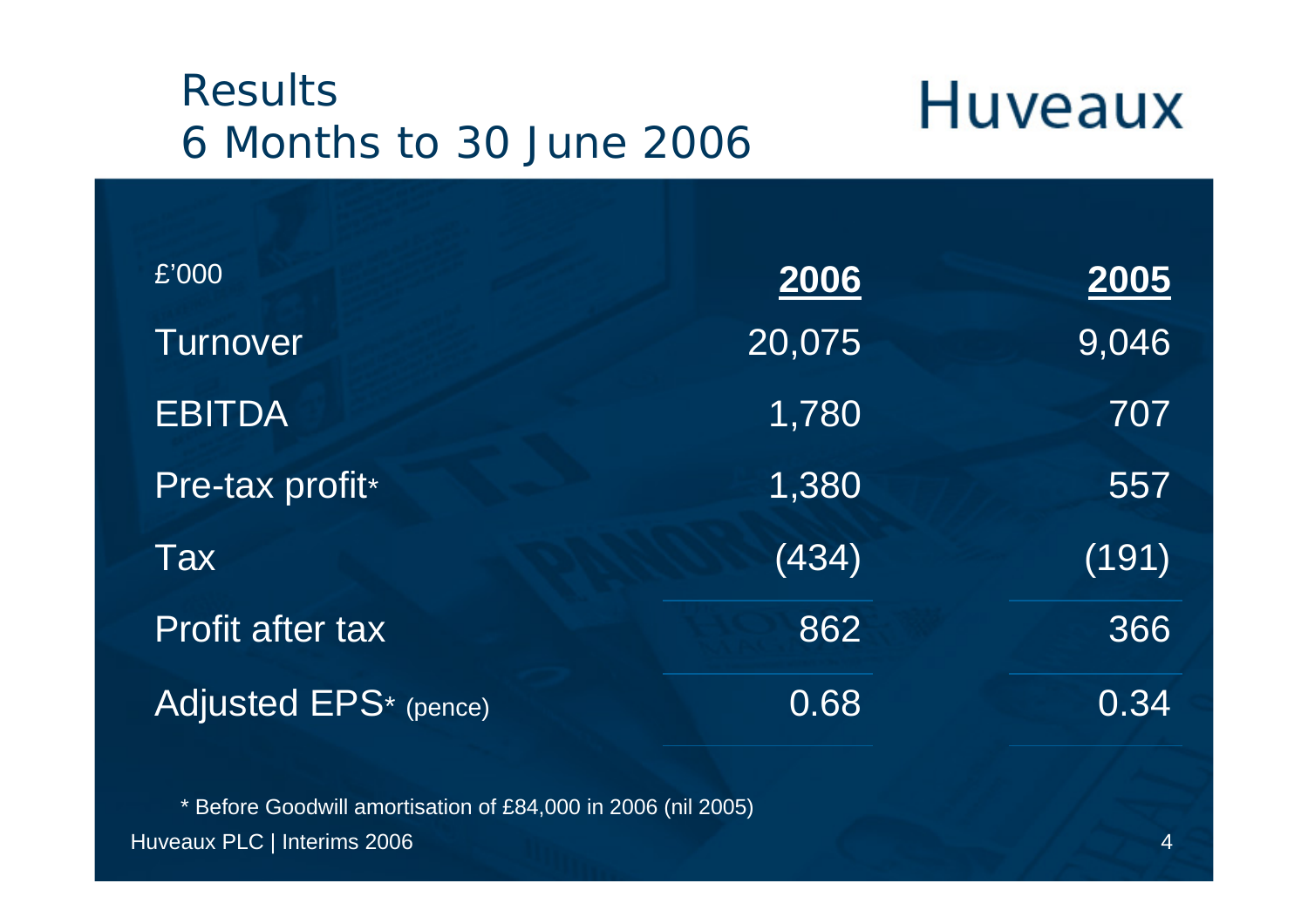#### Results6 Months to 30 June 2006

### **Huveaux**

| £'000                   | 2006   | 2005  |
|-------------------------|--------|-------|
| <b>Turnover</b>         | 20,075 | 9,046 |
| <b>EBITDA</b>           | 1,780  | 707   |
| Pre-tax profit*         | 1,380  | 557   |
| Tax                     | (434)  | (191) |
| <b>Profit after tax</b> | 862    | 366   |
| Adjusted EPS* (pence)   | 0.68   | 0.34  |

Huveaux PLC | Interims 2006 4 \* Before Goodwill amortisation of £84,000 in 2006 (nil 2005)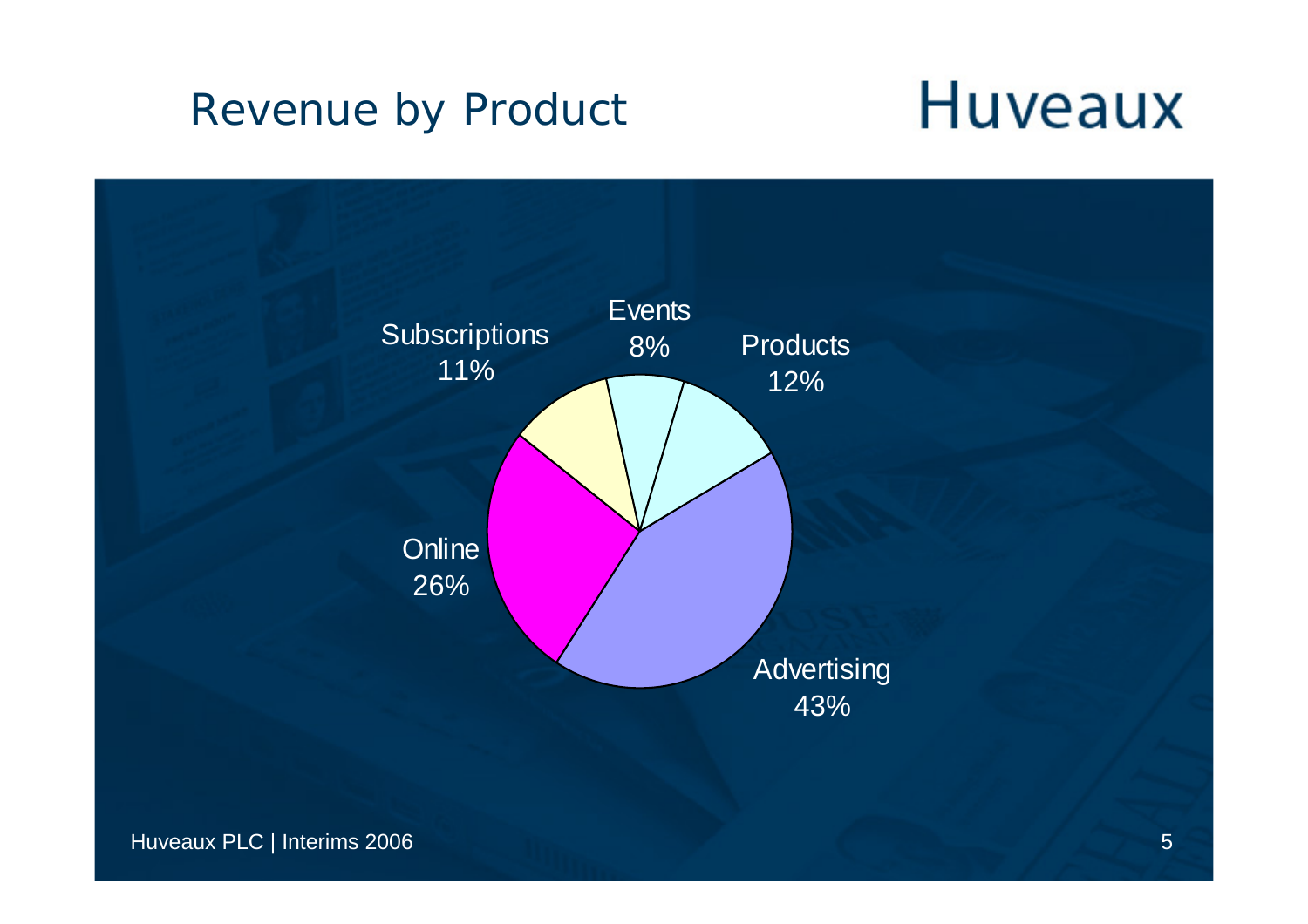#### Revenue by Product

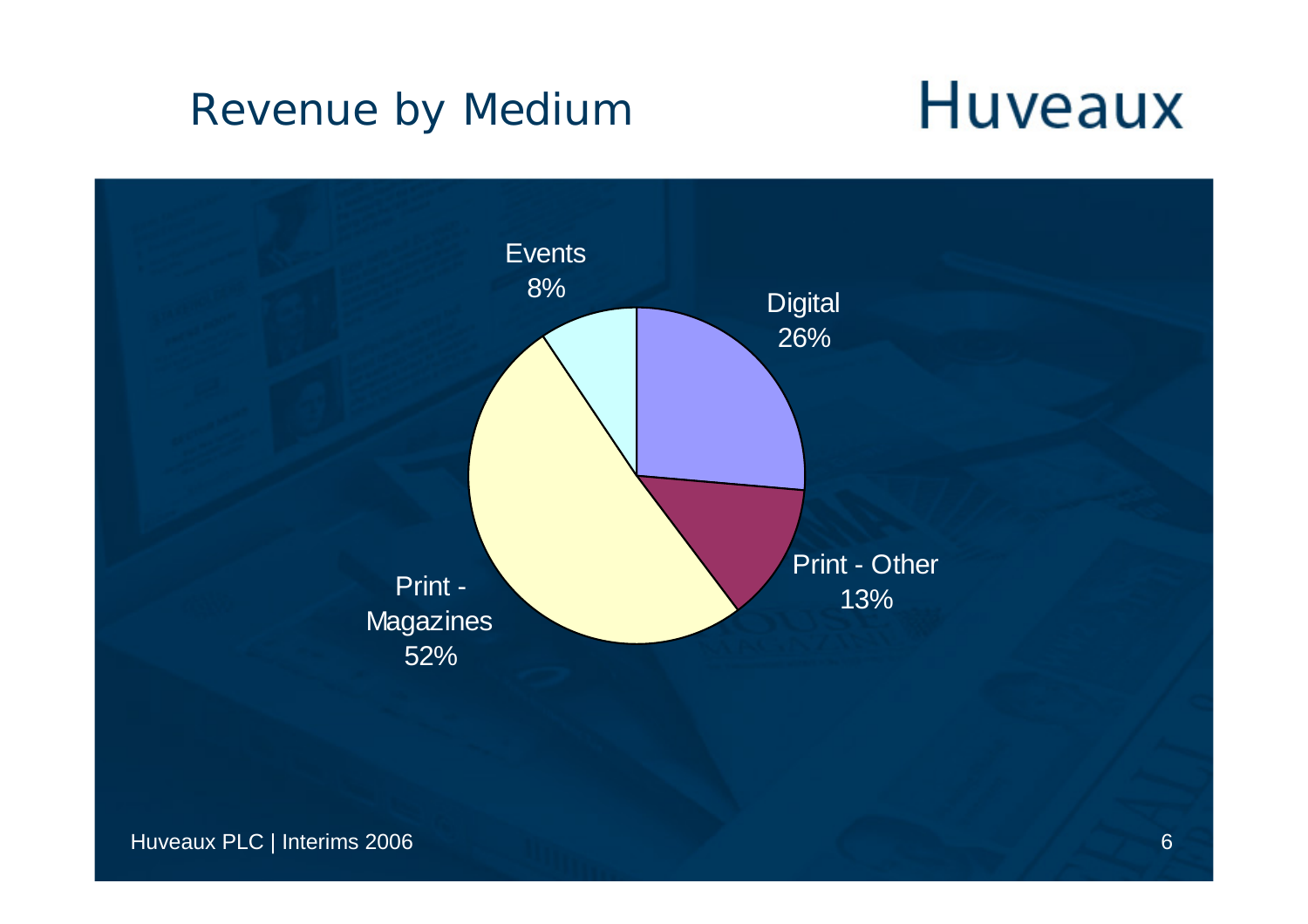#### Revenue by Medium

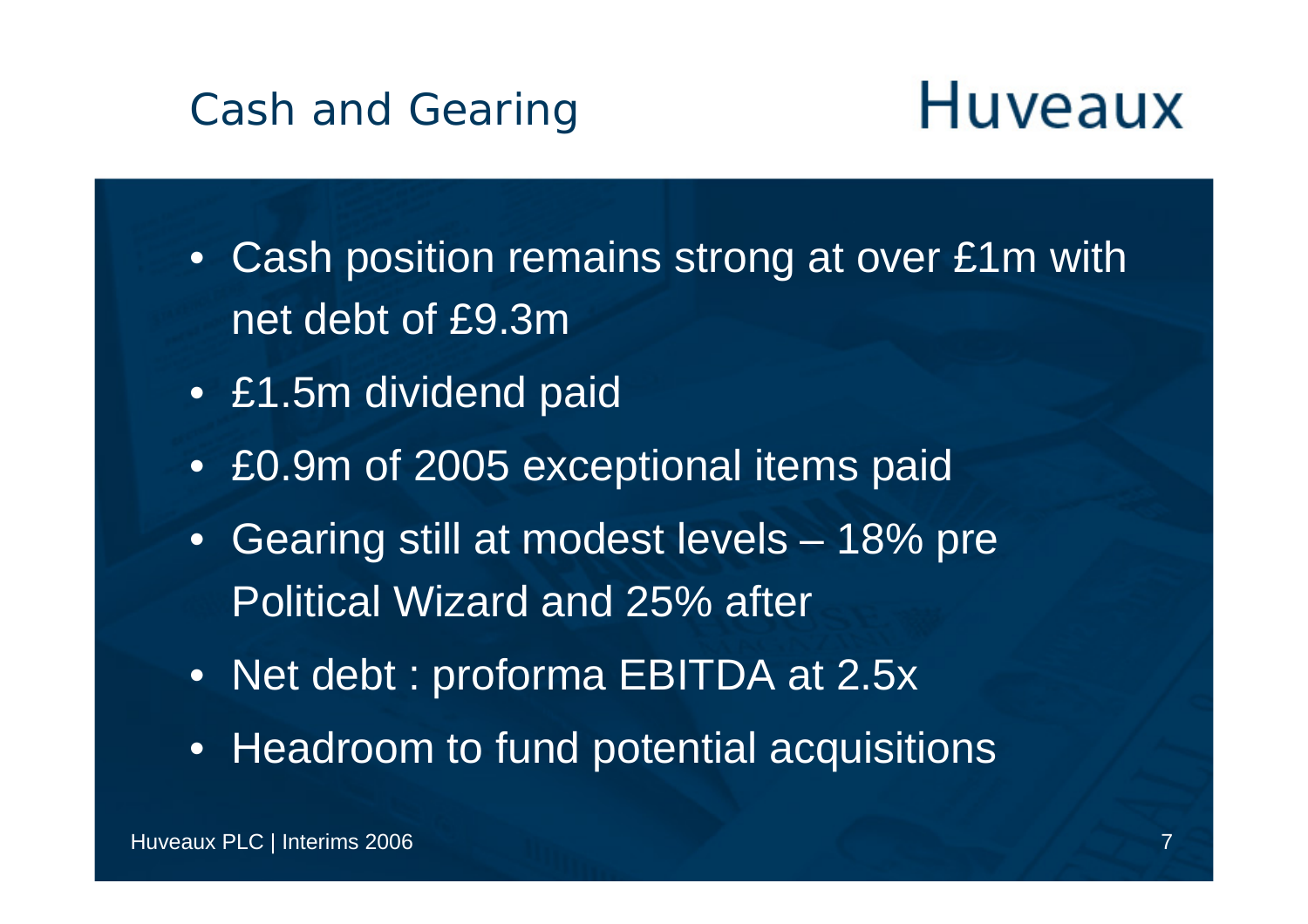#### Cash and Gearing

- Cash position remains strong at over £1m with net debt of £9.3m
- £1.5m dividend paid
- £0.9m of 2005 exceptional items paid
- Gearing still at modest levels 18% pre Political Wizard and 25% after
- Net debt : proforma EBITDA at 2.5x
- Headroom to fund potential acquisitions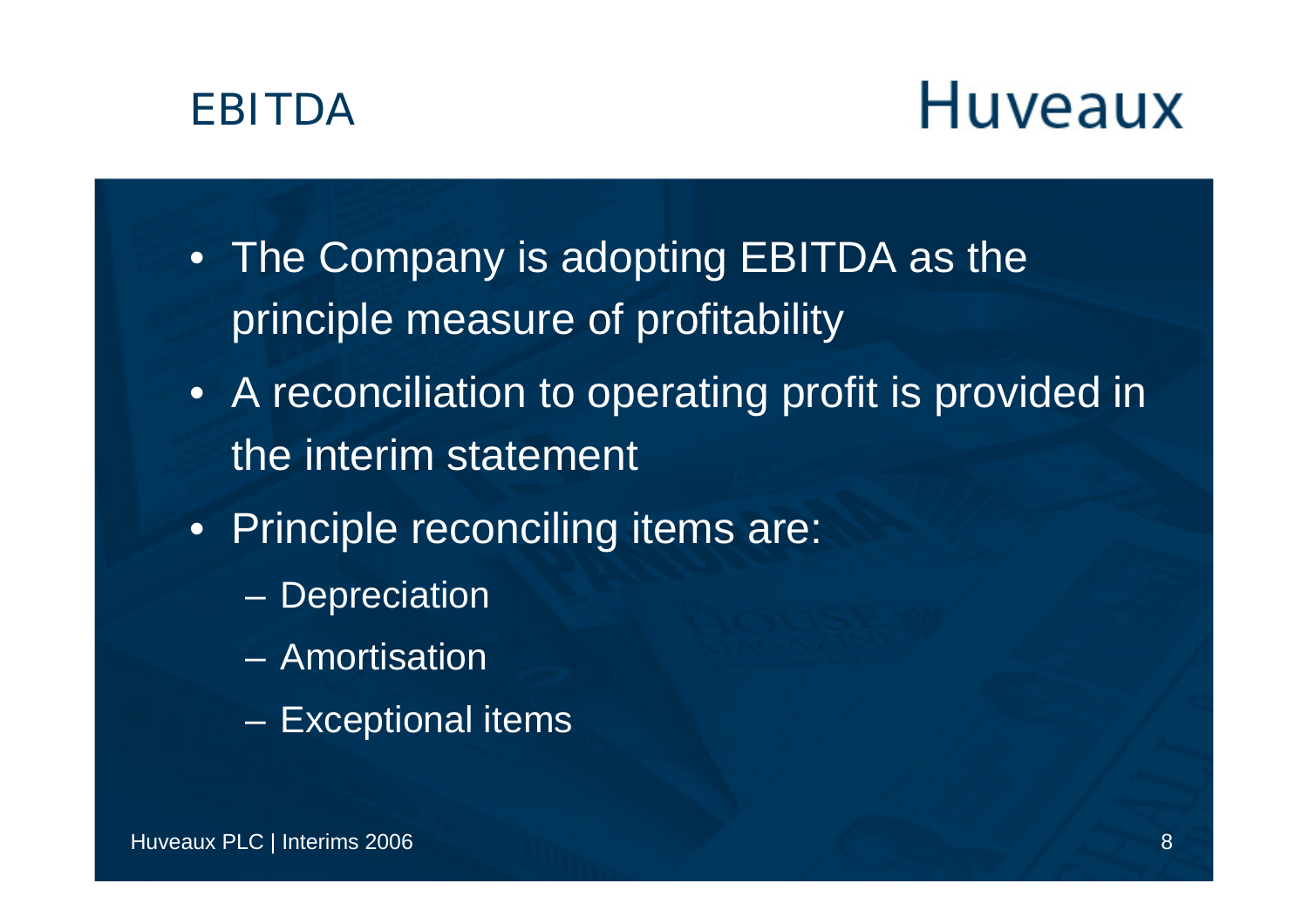

- The Company is adopting EBITDA as the principle measure of profitability
- A reconciliation to operating profit is provided in the interim statement
- Principle reconciling items are:
	- –**Depreciation**
	- Amortisation
	- and the contract of the con-Exceptional items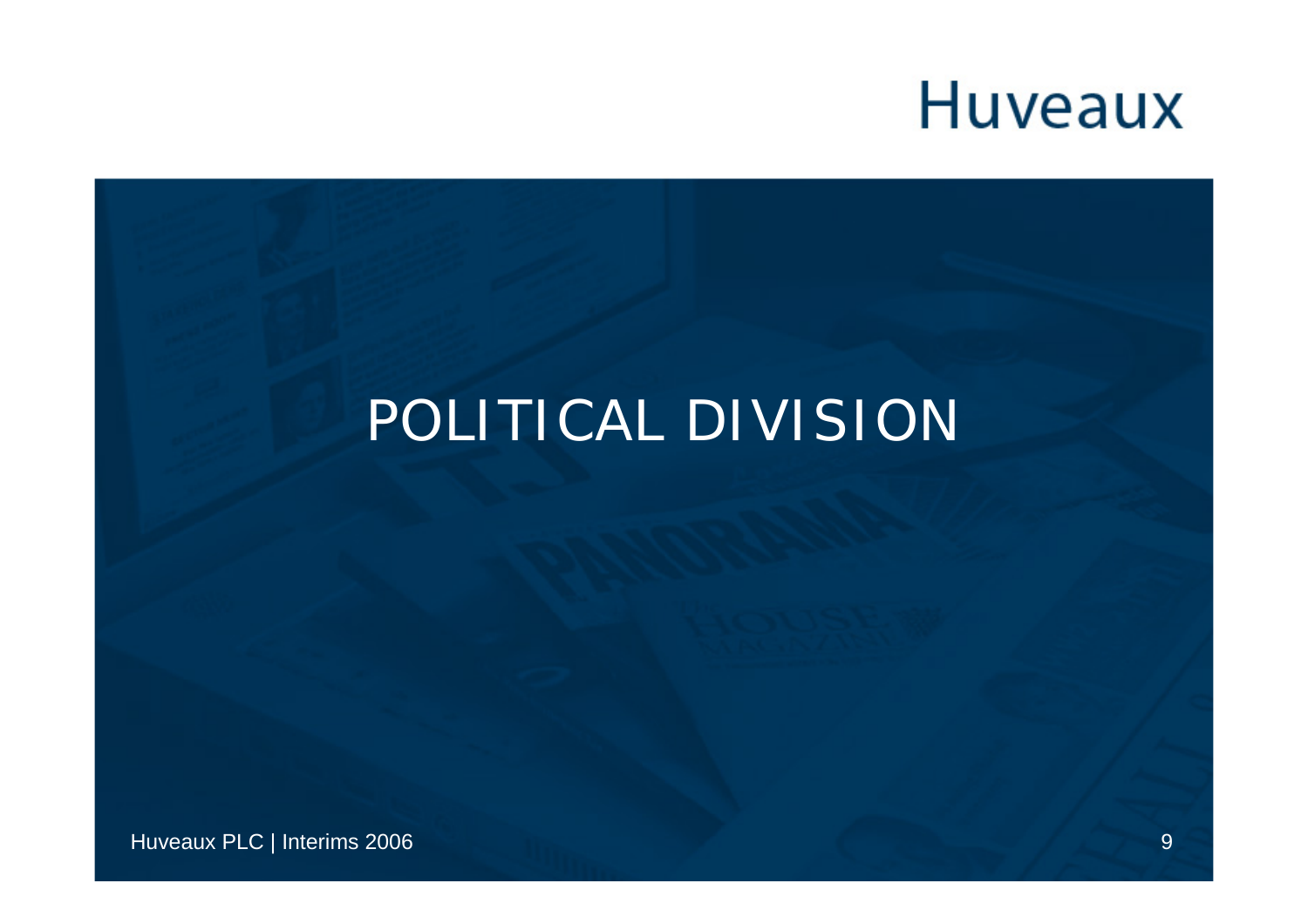#### POLITICAL DIVISION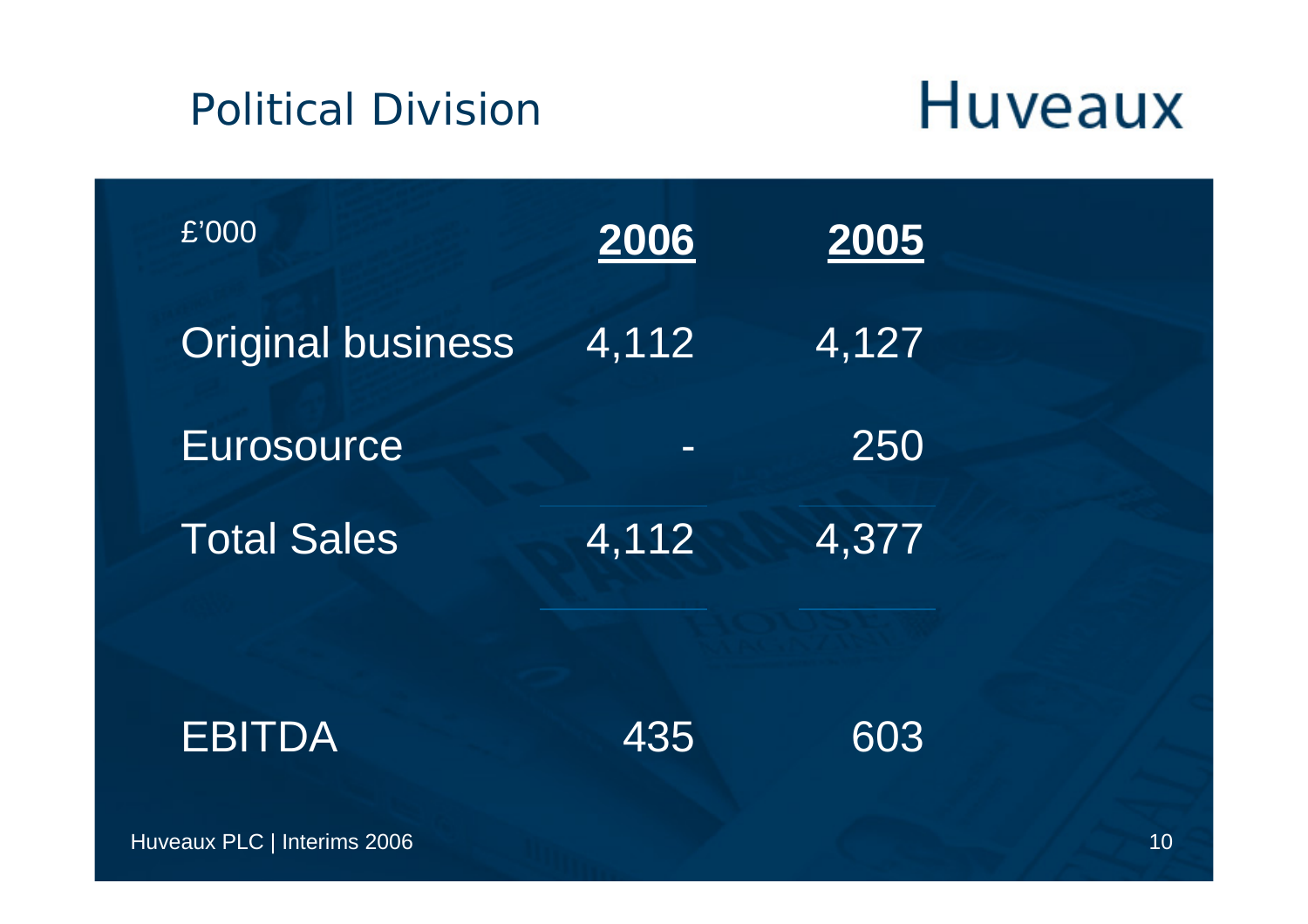#### Political Division

| £'000                    | 2006     | 2005  |  |
|--------------------------|----------|-------|--|
| <b>Original business</b> | 4,112    | 4,127 |  |
| <b>Eurosource</b>        | $\equiv$ | 250   |  |
| <b>Total Sales</b>       | 4,112    | 4,377 |  |
|                          |          |       |  |
| <b>EBITDA</b>            | 435      | 603   |  |
|                          |          |       |  |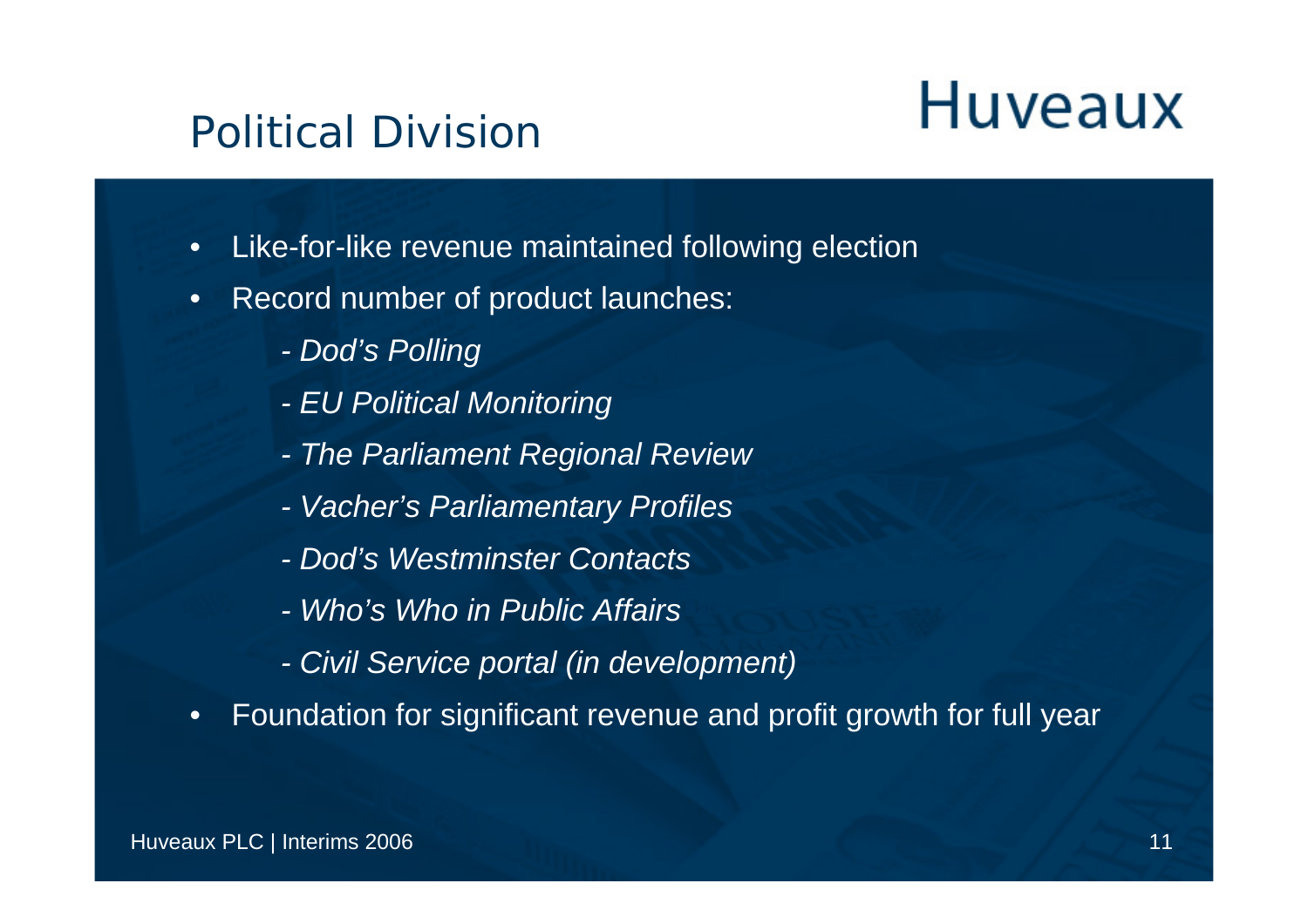#### Political Division

- •Like-for-like revenue maintained following election
- • Record number of product launches:
	- *- Dod's Polling*
	- *- EU Political Monitoring*
	- *- The Parliament Regional Review*
	- *Vacher's Parliamentary Profiles*
	- *- Dod's Westminster Contacts*
	- *- Who's Who in Public Affairs*
	- *- Civil Service portal (in development)*
- •Foundation for significant revenue and profit growth for full year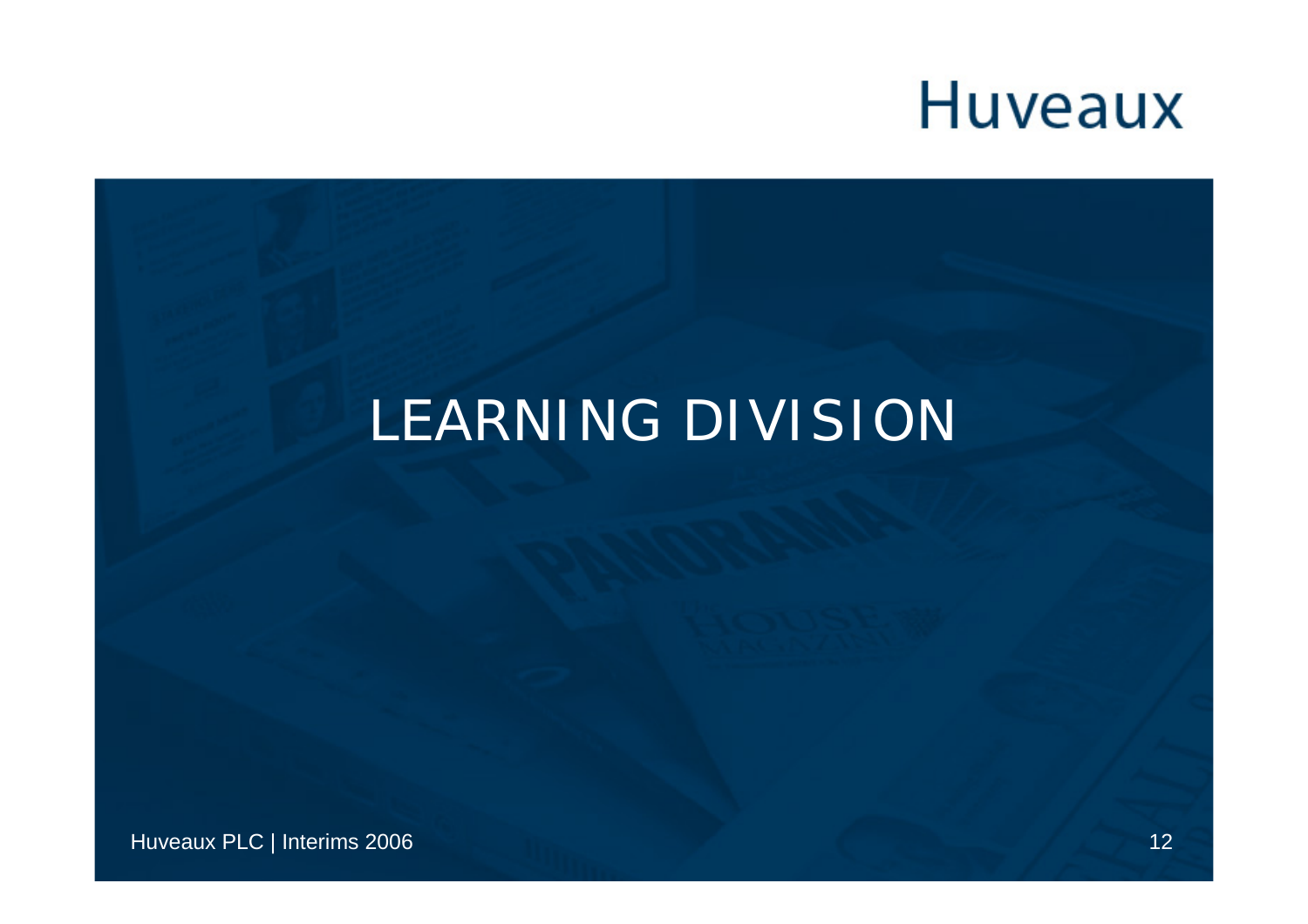#### **LEARNING DIVISION**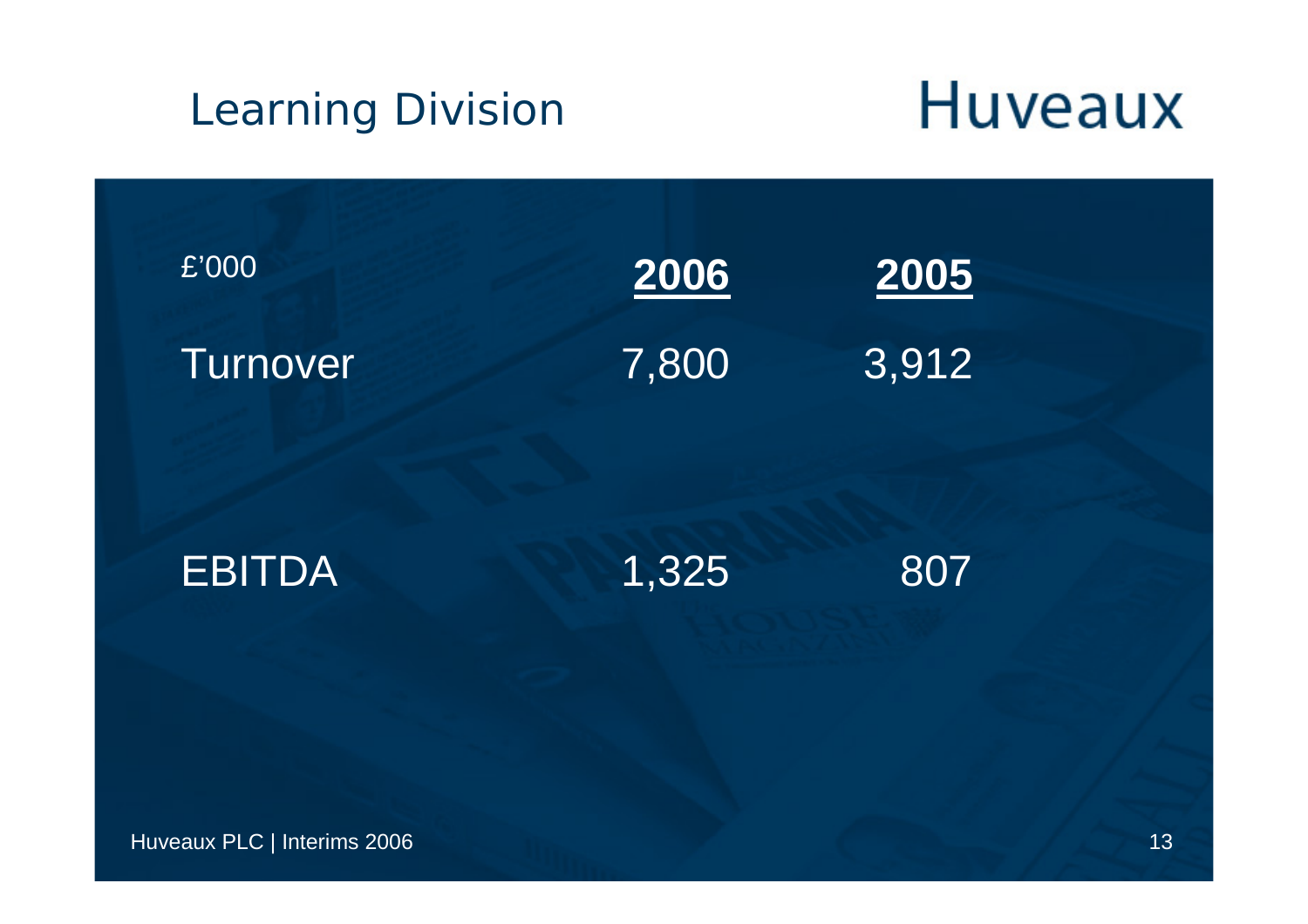## **Huveaux** Learning Division £'000 **20062005** Turnover 7,800 3,912 **EBITDA**  1,325 807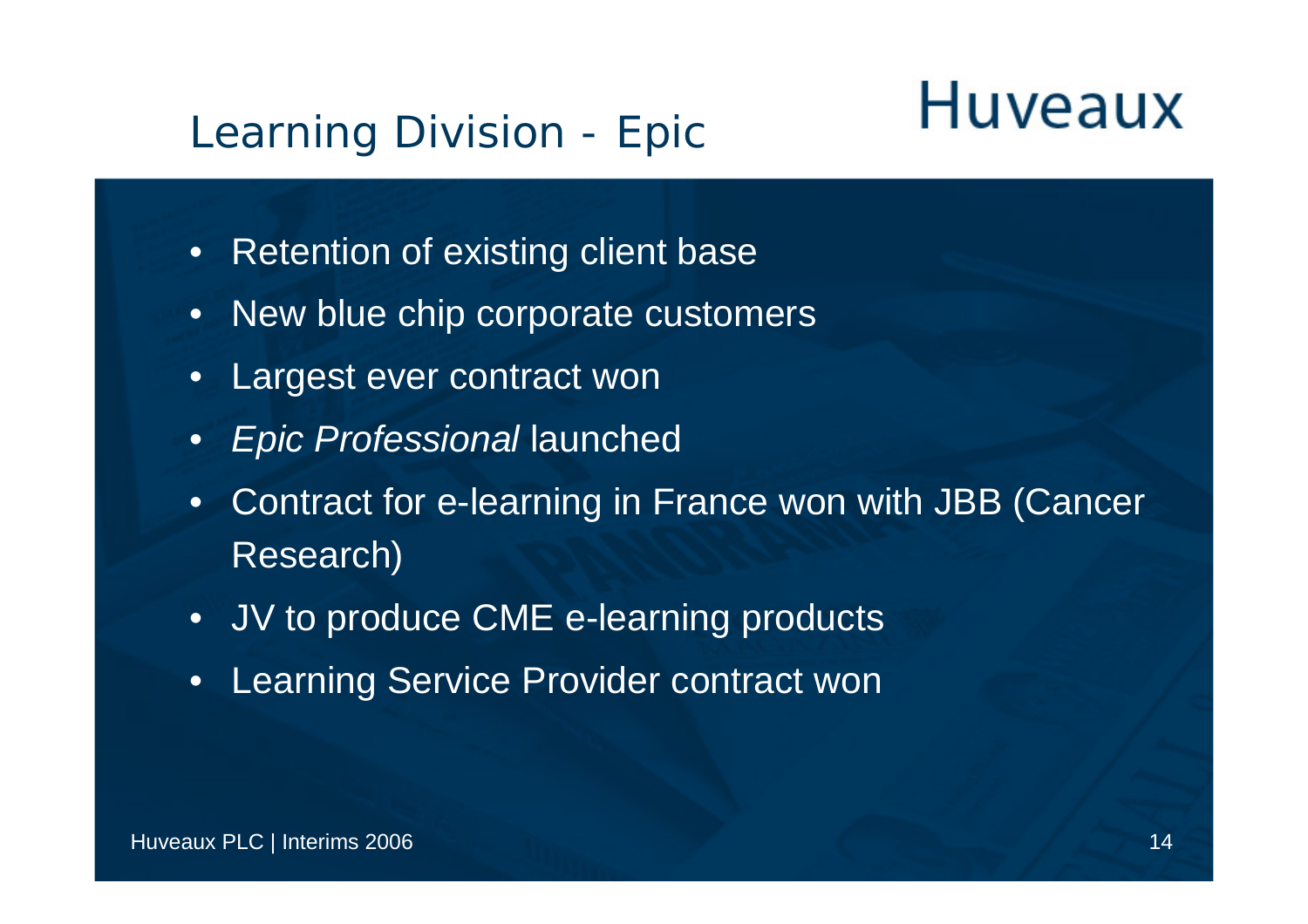#### Learning Division - Epic

- Retention of existing client base
- New blue chip corporate customers
- Largest ever contract won
- *Epic Professional* launched
- $\bullet$  Contract for e-learning in France won with JBB (Cancer Research)
- JV to produce CME e-learning products
- •Learning Service Provider contract won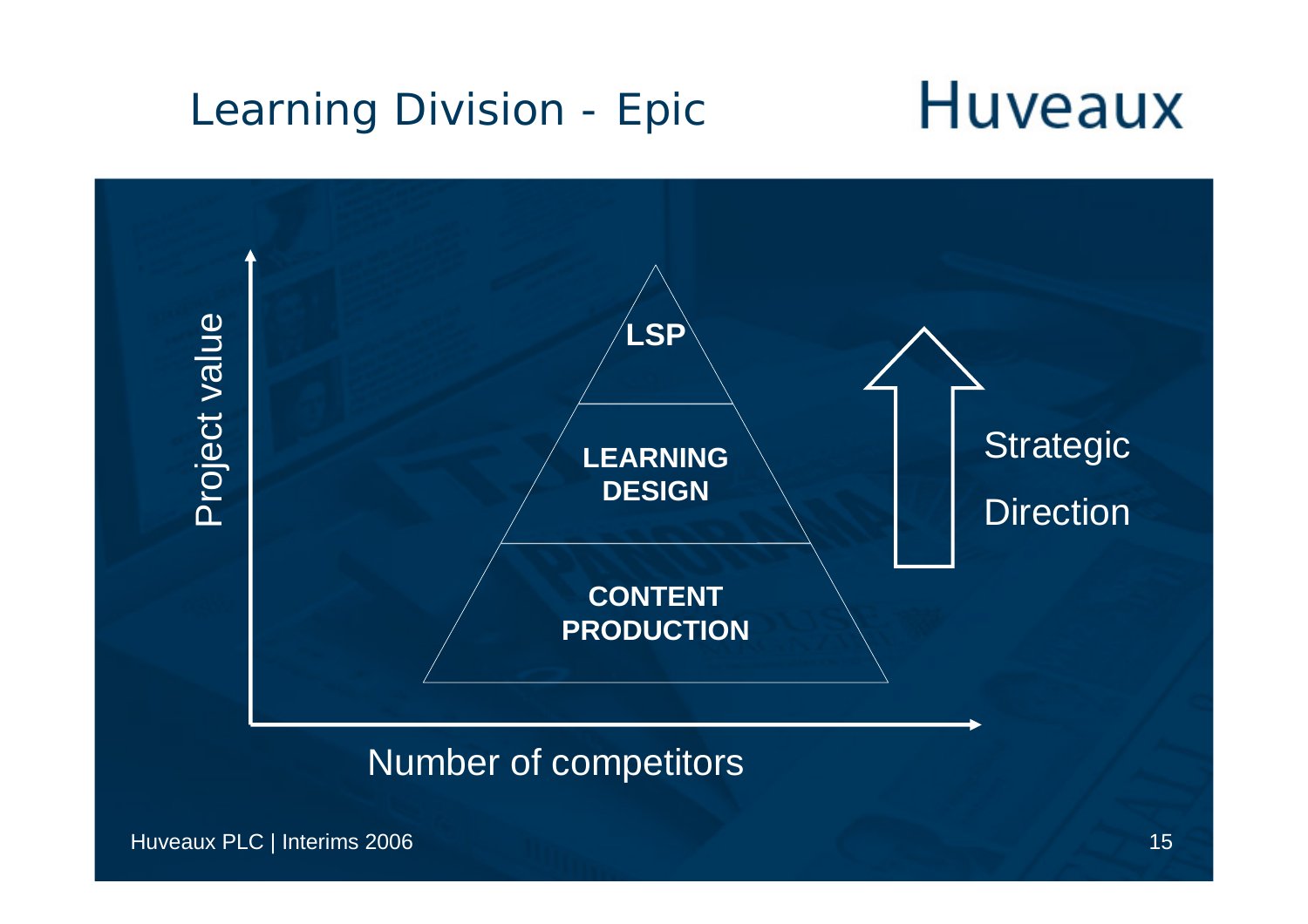#### **Huveaux** Learning Division - Epic



#### Number of competitors

Huveaux PLC | Interims 2006 15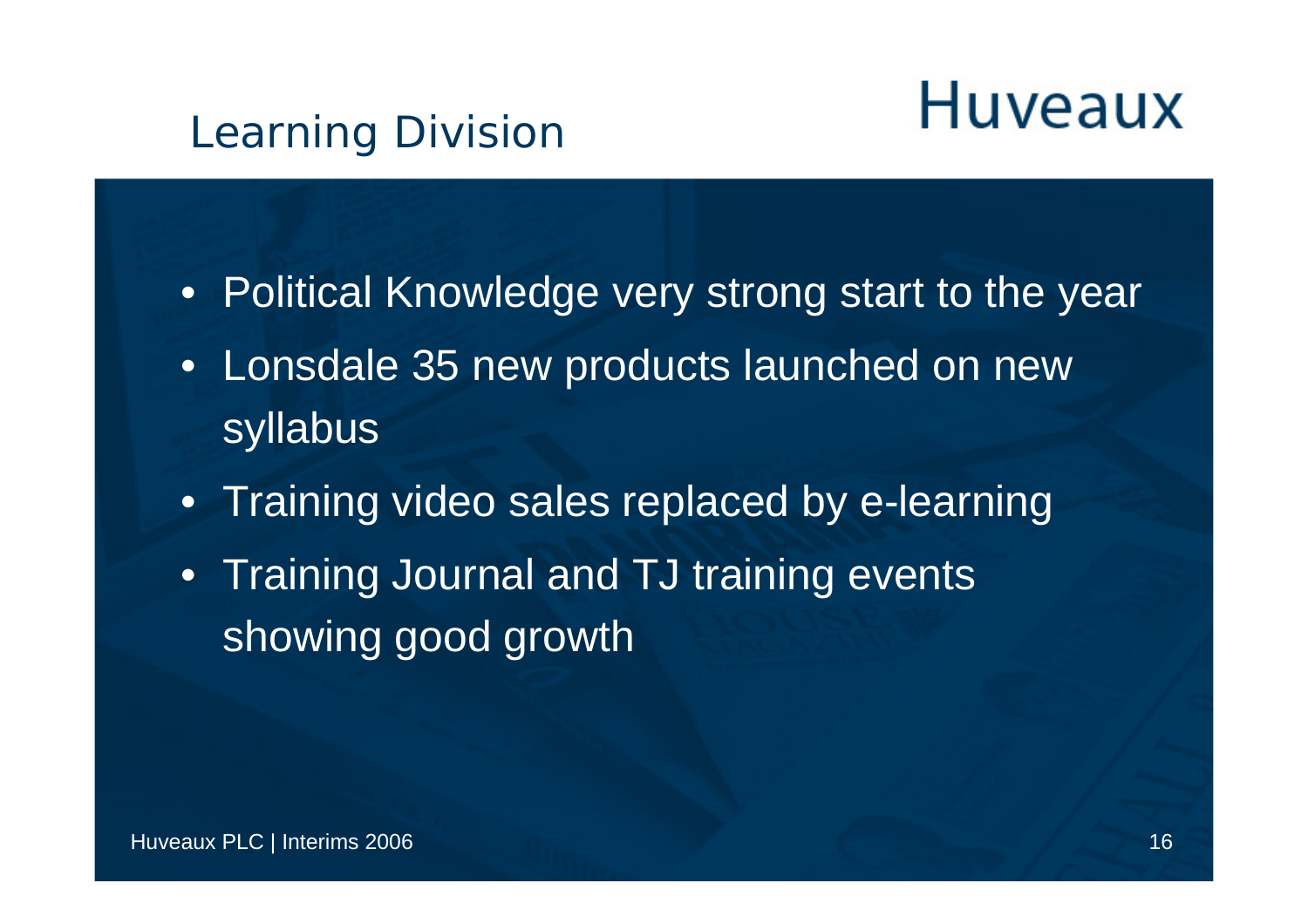#### Learning Division

- Political Knowledge very strong start to the year
- Lonsdale 35 new products launched on new syllabus
- Training video sales replaced by e-learning
- Training Journal and TJ training events showing good growth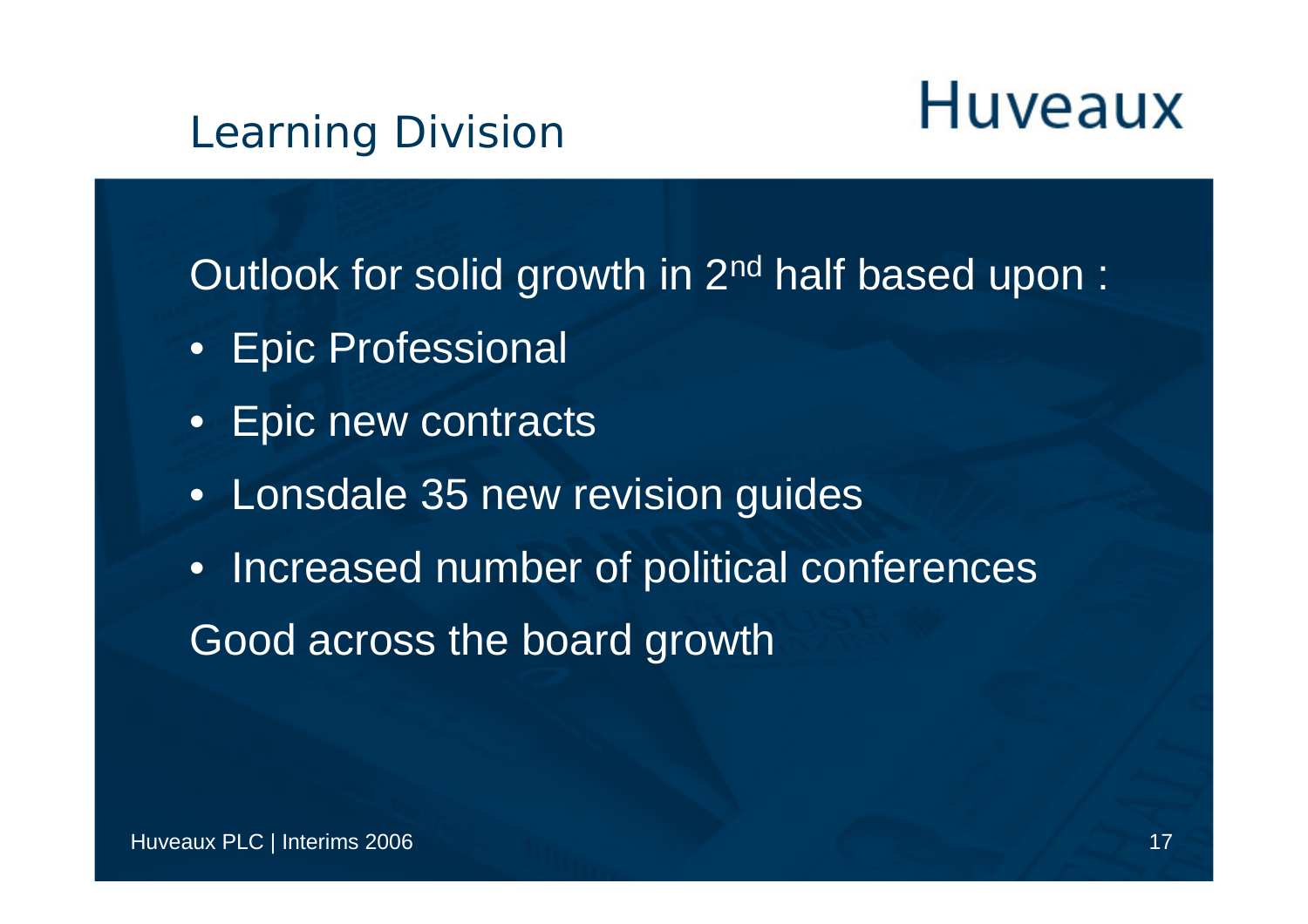#### Learning Division

Outlook for solid growth in 2<sup>nd</sup> half based upon:

- Epic Professional
- Epic new contracts
- Lonsdale 35 new revision guides
- Increased number of political conferences Good across the board growth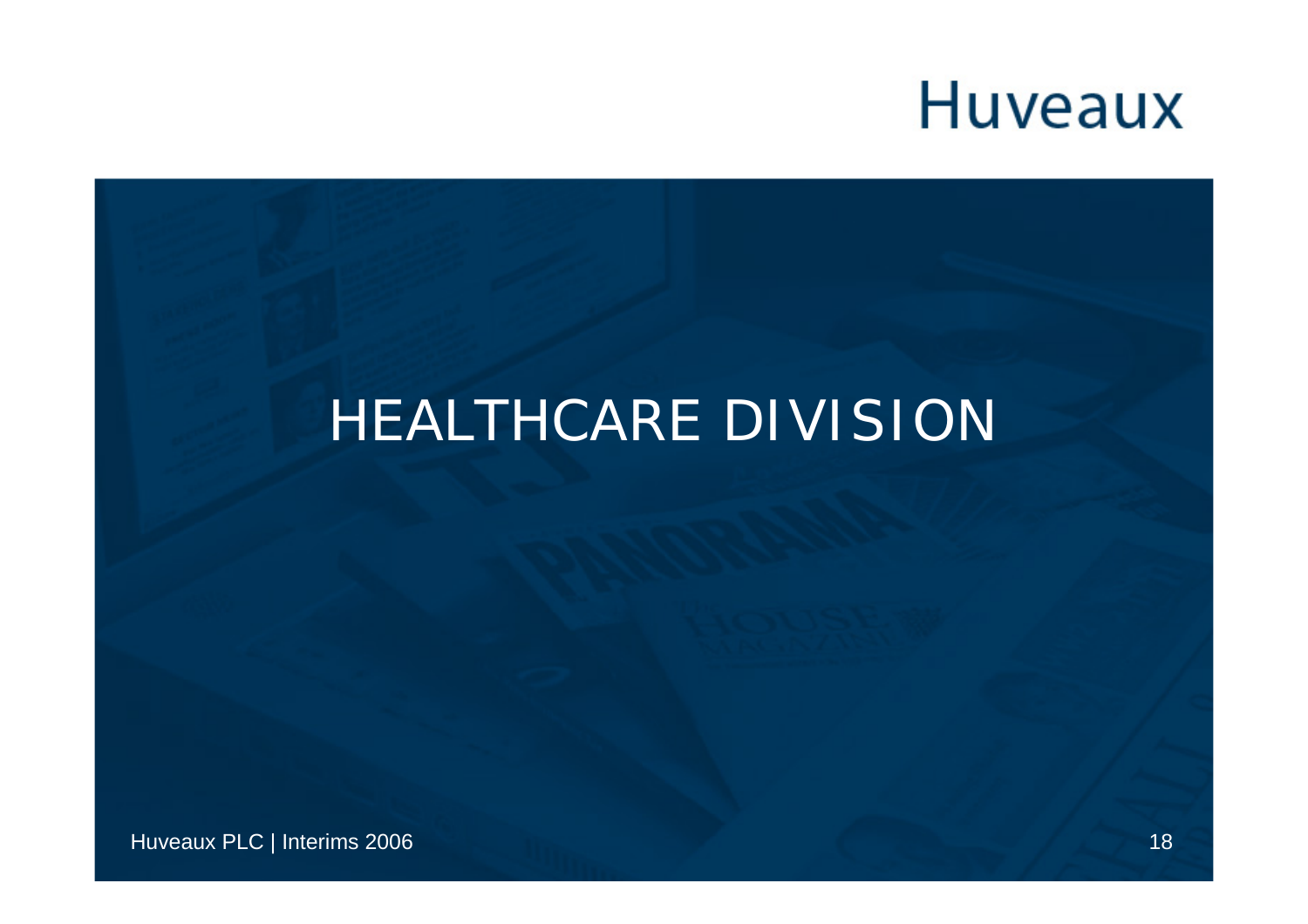#### **HEALTHCARE DIVISION**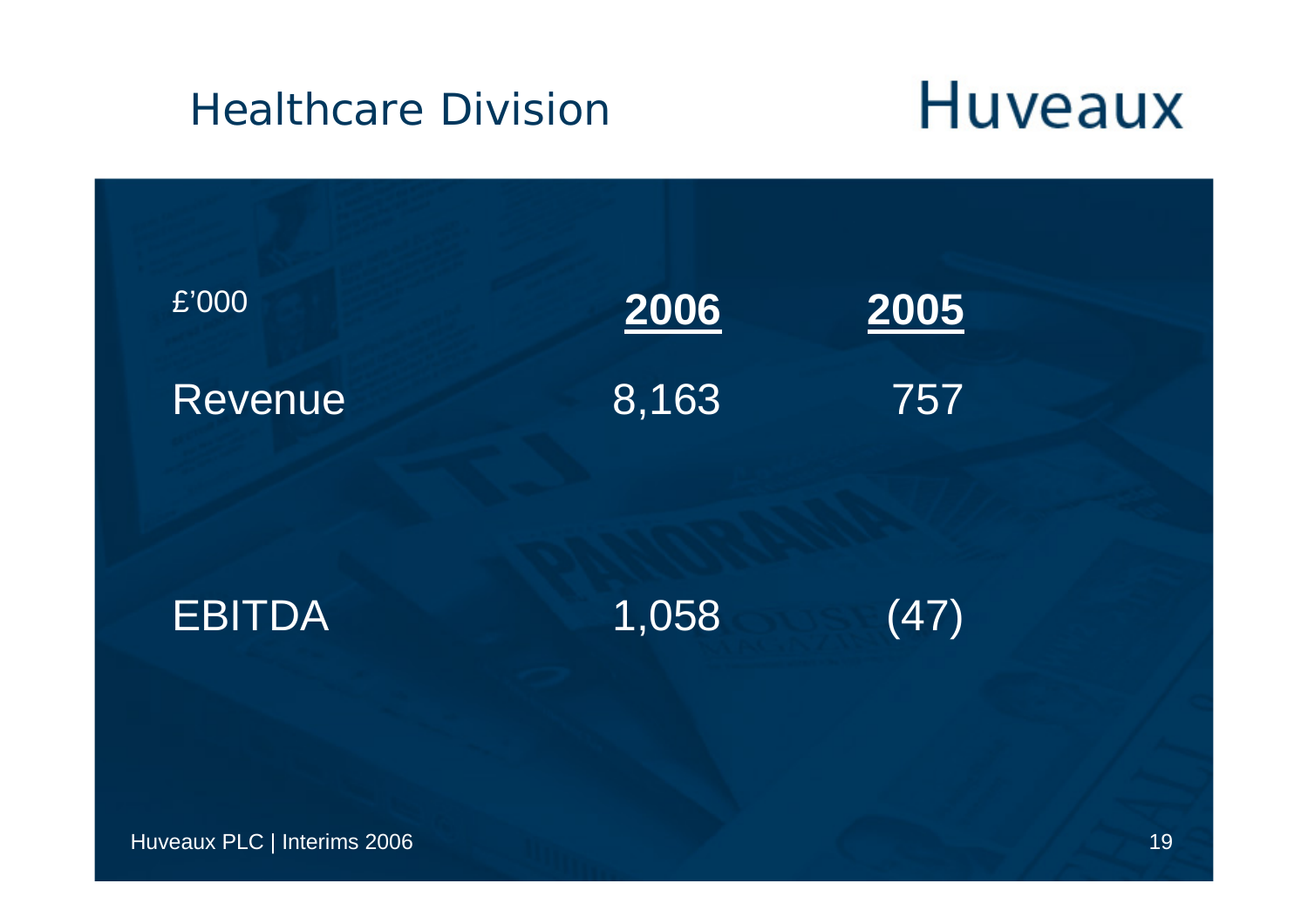#### Healthcare Divisior

| 2006<br>2005<br>8,163<br>757<br>1,058<br>(47) |                             |  |
|-----------------------------------------------|-----------------------------|--|
|                                               | $\overline{\mathsf{E}'000}$ |  |
|                                               | <b>Revenue</b>              |  |
|                                               | <b>EBITDA</b>               |  |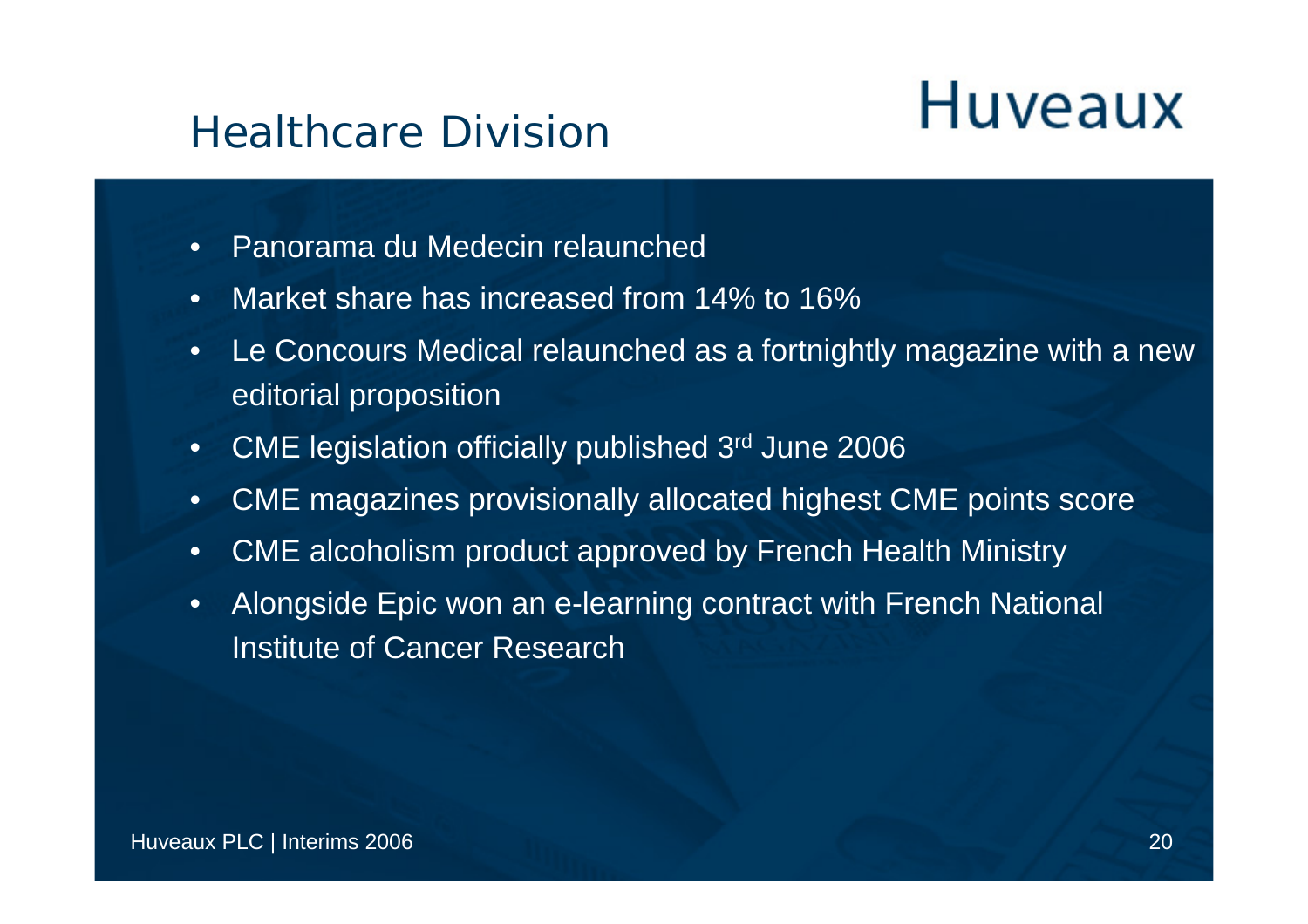#### Healthcare Division

- •Panorama du Medecin relaunched
- $\bullet$ Market share has increased from 14% to 16%
- • Le Concours Medical relaunched as a fortnightly magazine with a new editorial proposition
- $\bullet$ CME legislation officially published 3rd June 2006
- •CME magazines provisionally allocated highest CME points score
- $\bullet$ CME alcoholism product approved by French Health Ministry
- $\bullet$  Alongside Epic won an e-learning contract with French National Institute of Cancer Research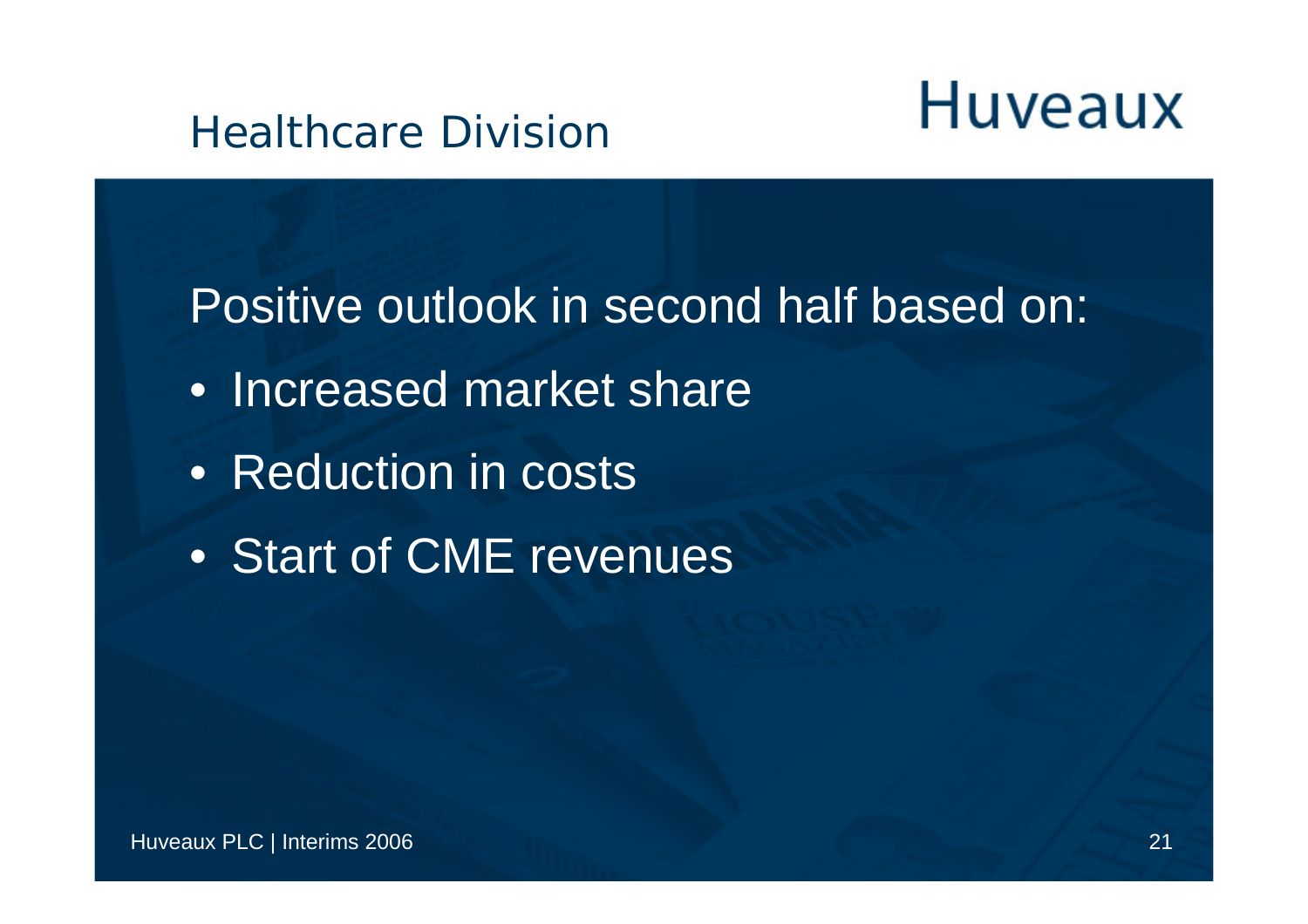#### Healthcare Division

Positive outlook in second half based on:

- Increased market share
- Reduction in costs
- Start of CME revenues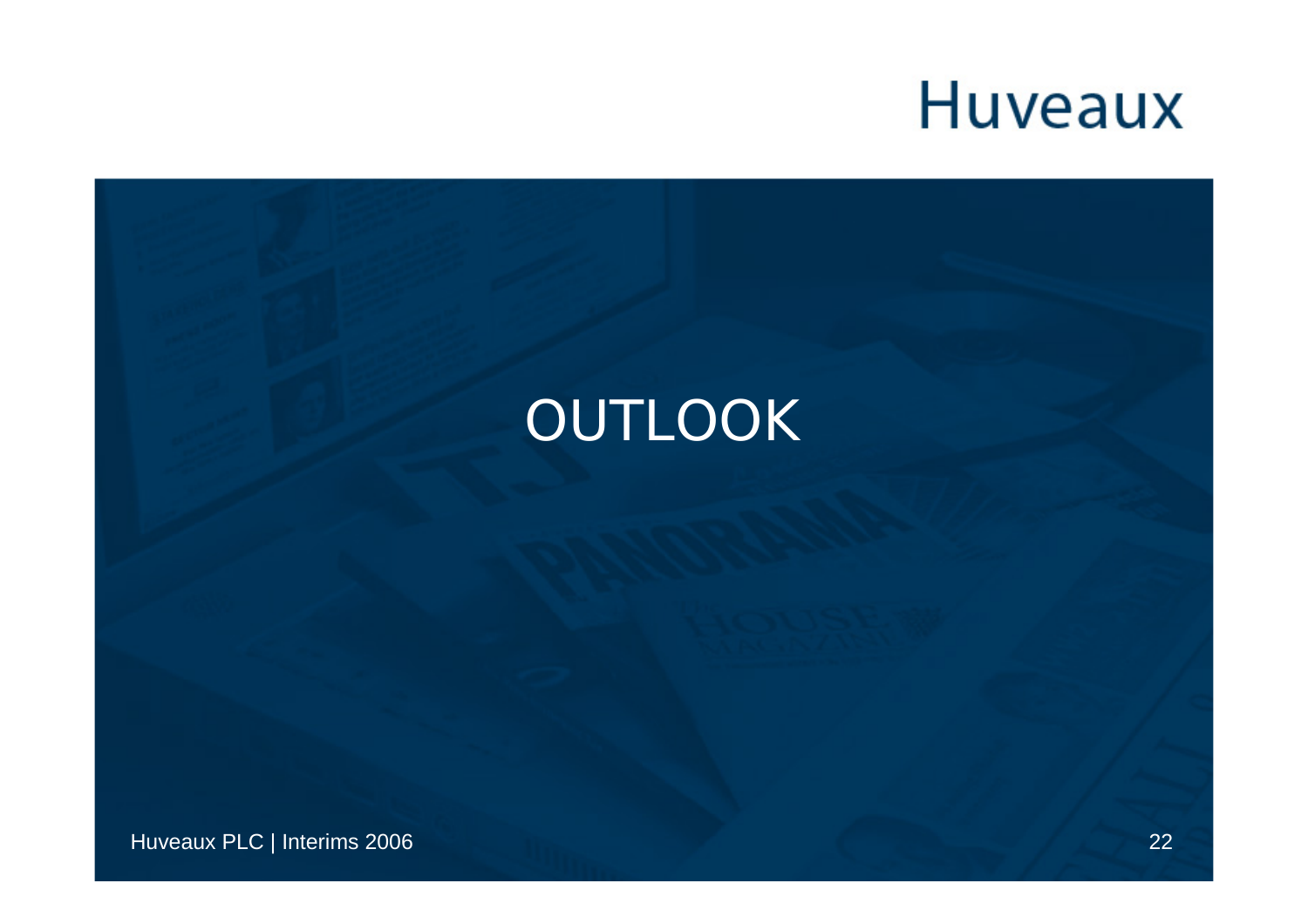#### OUTLOOK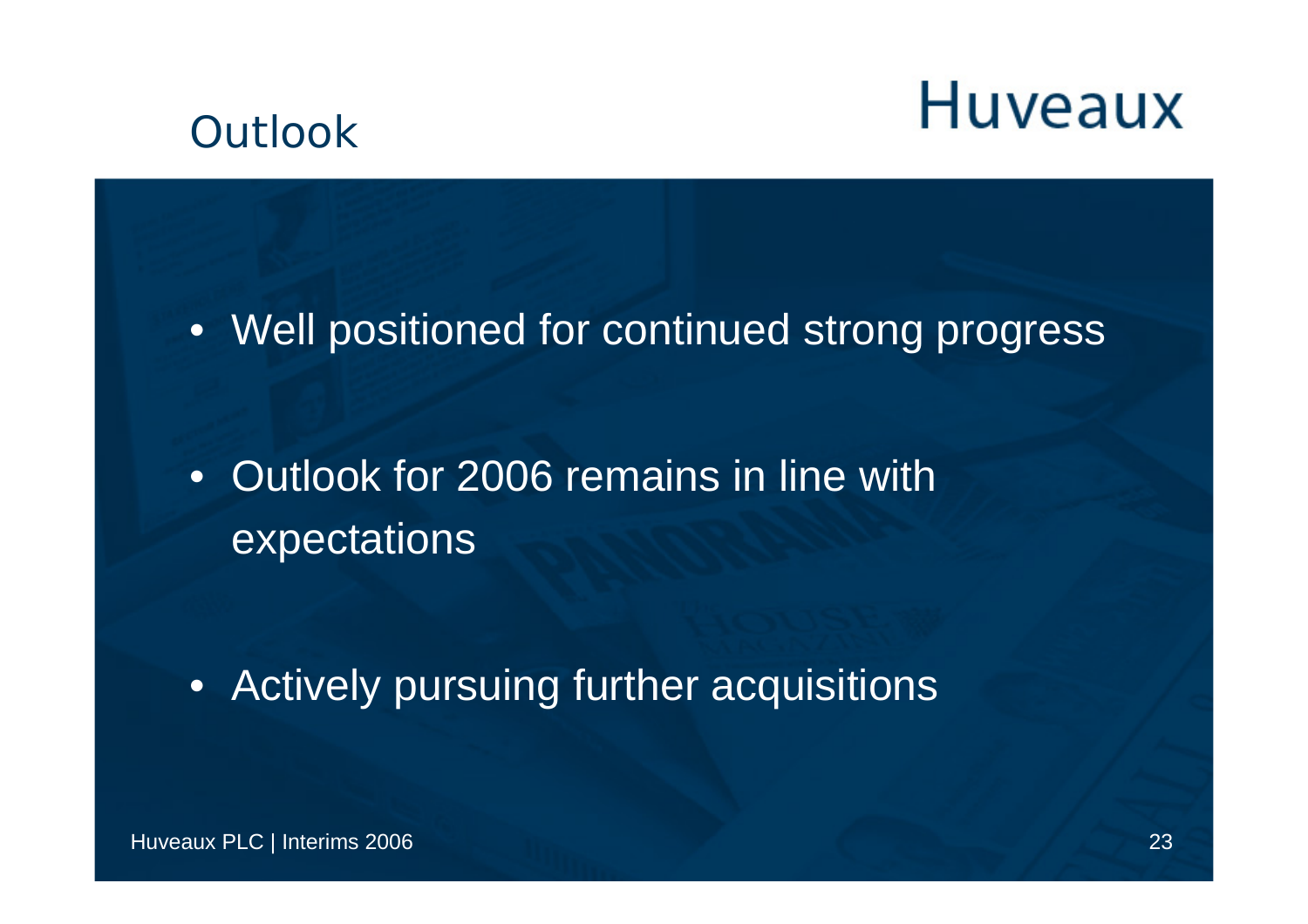#### **Outlook**

• Well positioned for continued strong progress

• Outlook for 2006 remains in line with expectations

• Actively pursuing further acquisitions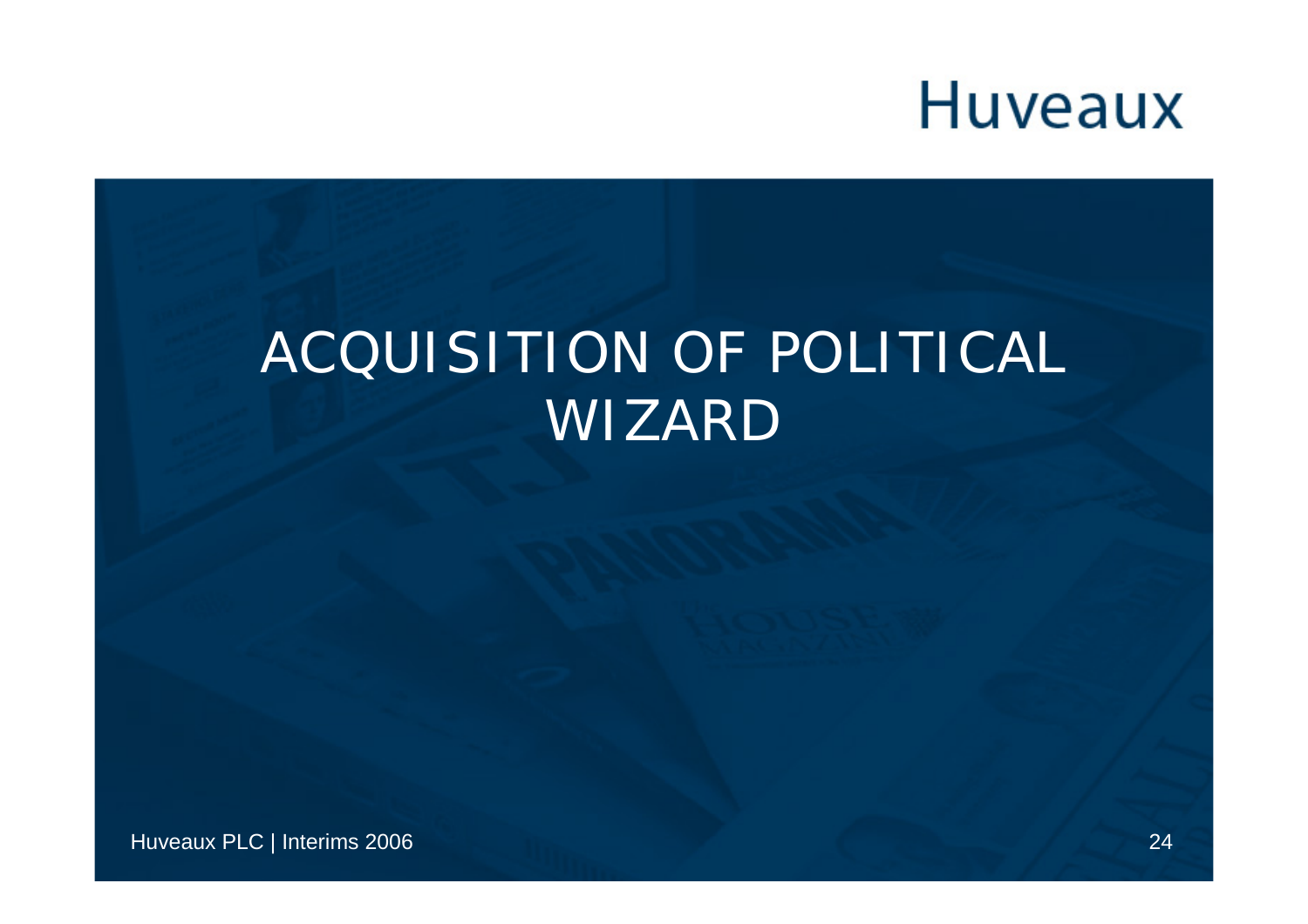#### ACQUISITION OF POLITICAL WIZARD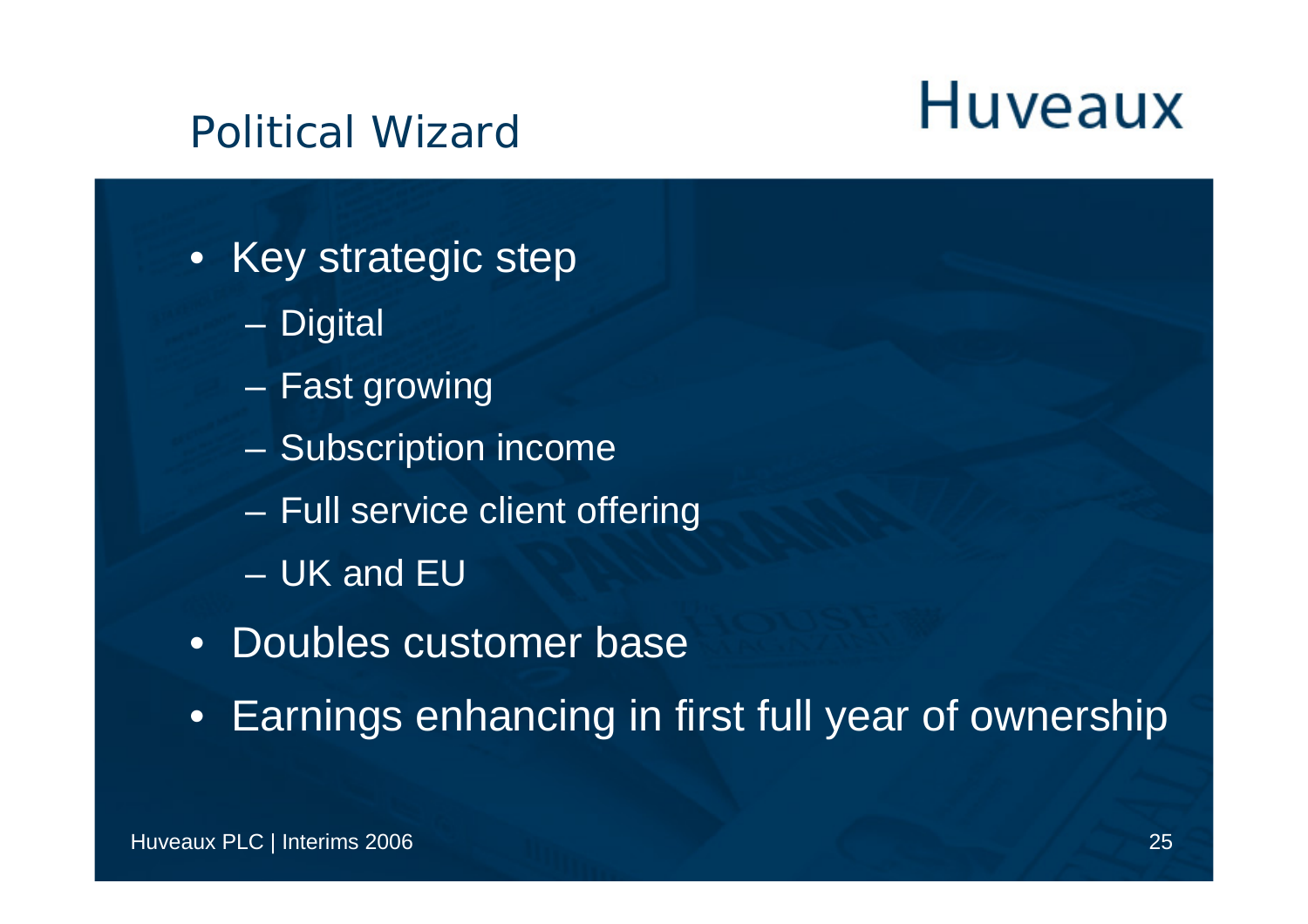#### Political Wizard

- Key strategic step
	- –**Digital**
	- –Fast growing
	- –Subscription income
	- –Full service client offering
	- UK and EU
- Doubles customer base
- Earnings enhancing in first full year of ownership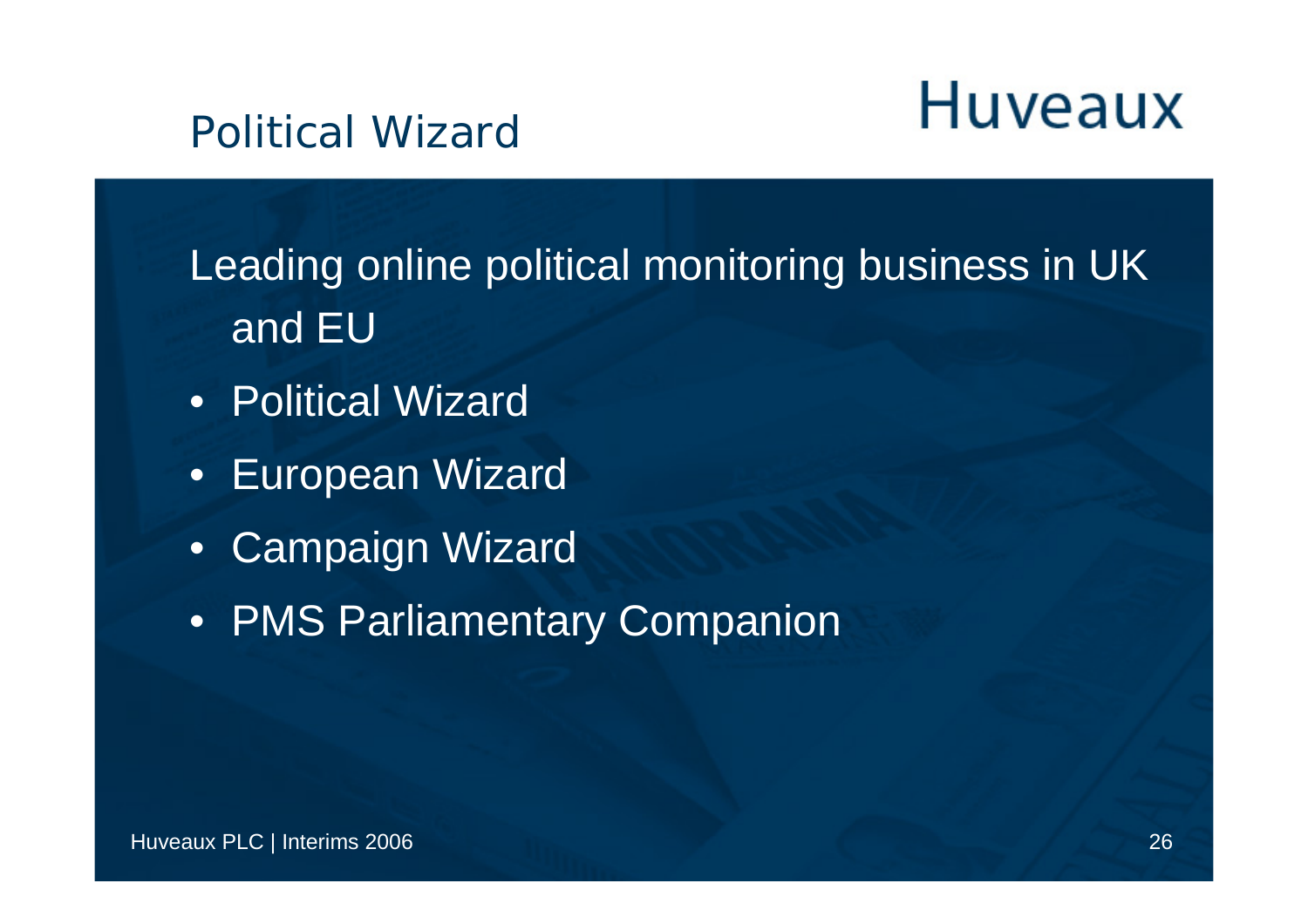#### Political Wizard

Leading online political monitoring business in UK and EU

- Political Wizard
- European Wizard
- Campaign Wizard
- PMS Parliamentary Companion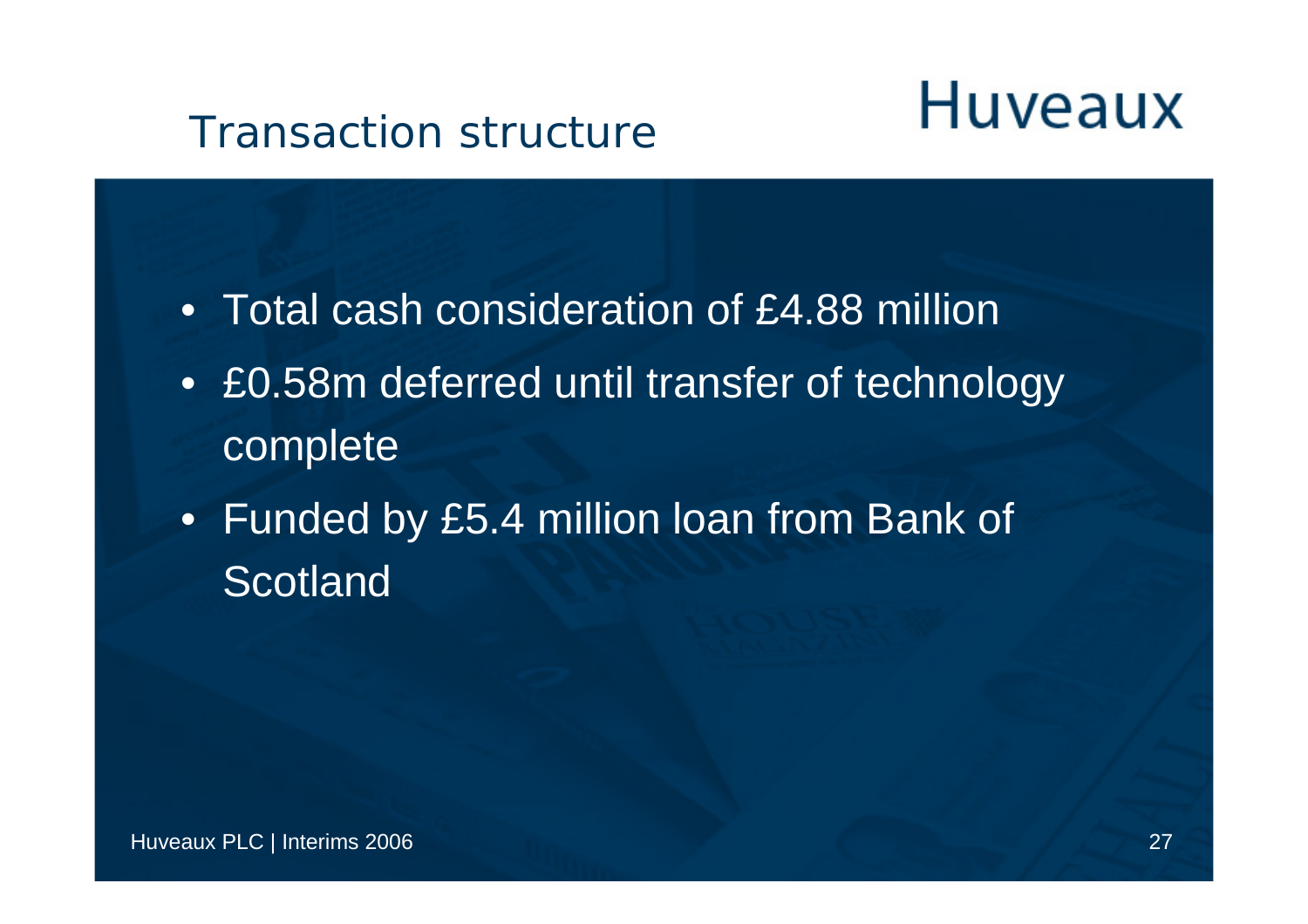#### Transaction structure

- Total cash consideration of £4.88 million
- £0.58m deferred until transfer of technology complete
- Funded by £5.4 million loan from Bank of **Scotland**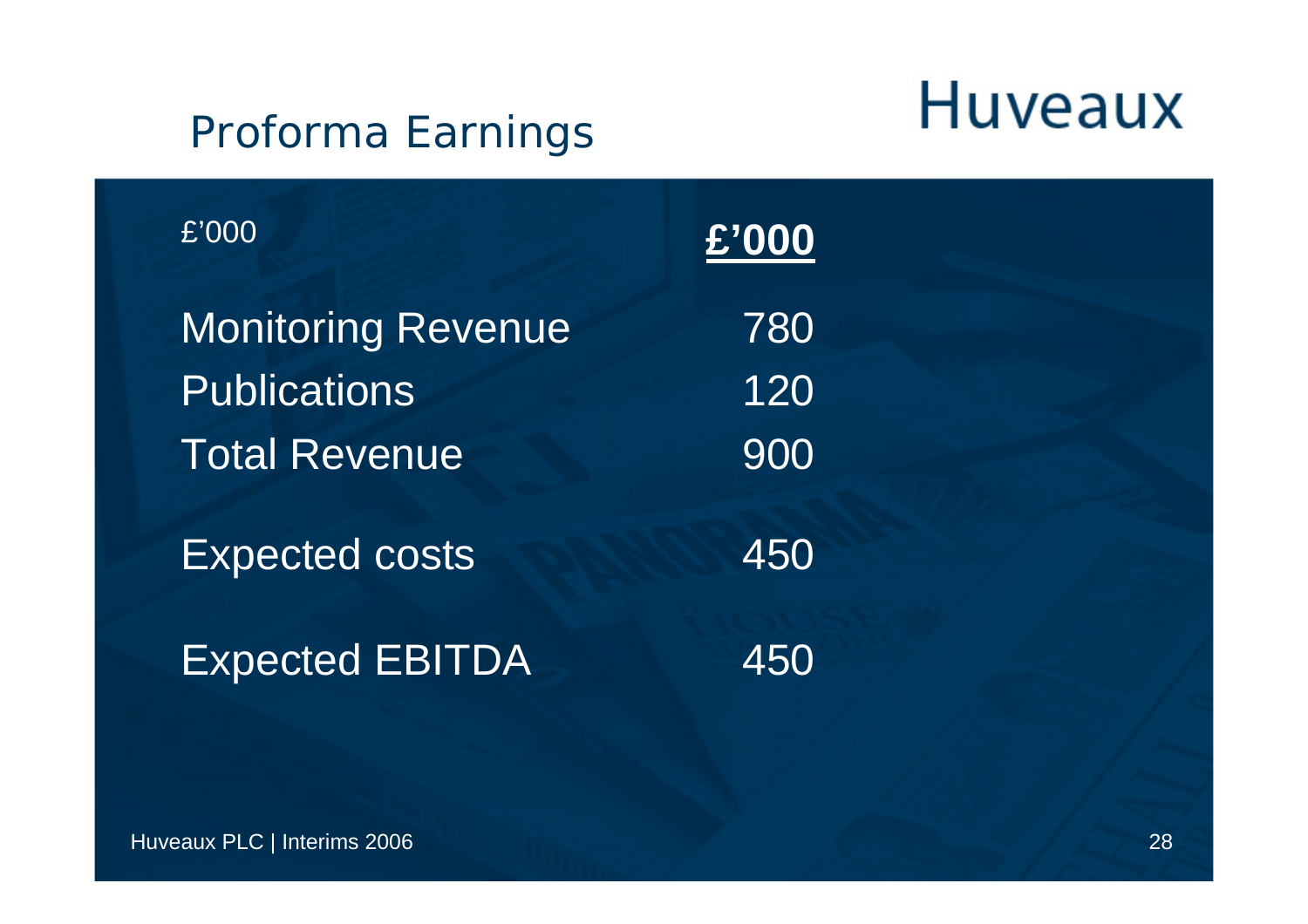#### Proforma Earnings

| E'000                     | £'000 |
|---------------------------|-------|
| <b>Monitoring Revenue</b> | 780   |
| <b>Publications</b>       | 120   |
| <b>Total Revenue</b>      | 900   |
| <b>Expected costs</b>     | 450   |
| <b>Expected EBITDA</b>    | 450   |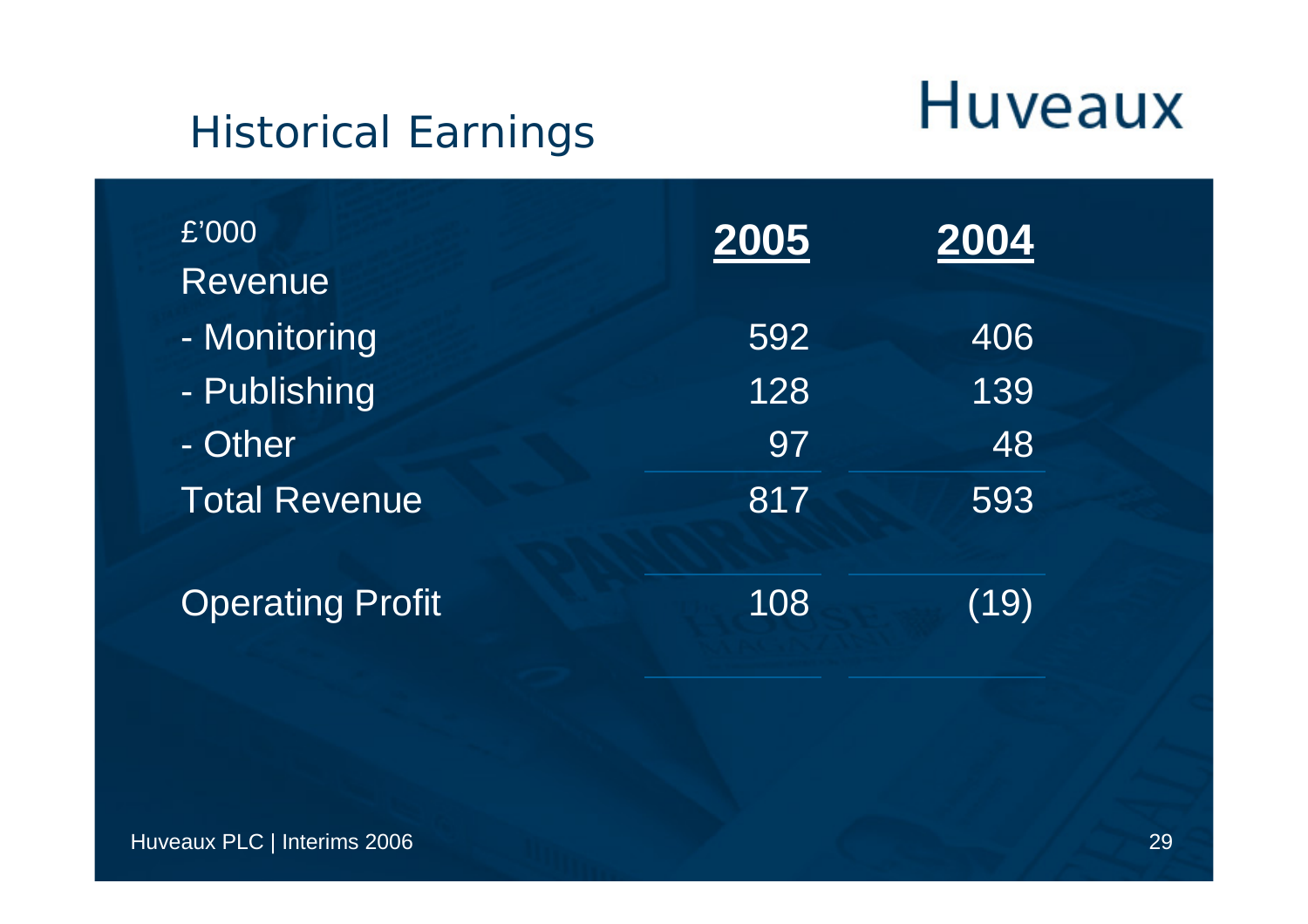#### Historical Earnings

| £'000<br>Revenue        | 2005 | 2004 |
|-------------------------|------|------|
| - Monitoring            | 592  | 406  |
| - Publishing            | 128  | 139  |
| - Other                 | 97   | 48   |
| <b>Total Revenue</b>    | 817  | 593  |
| <b>Operating Profit</b> | 108  | (19) |